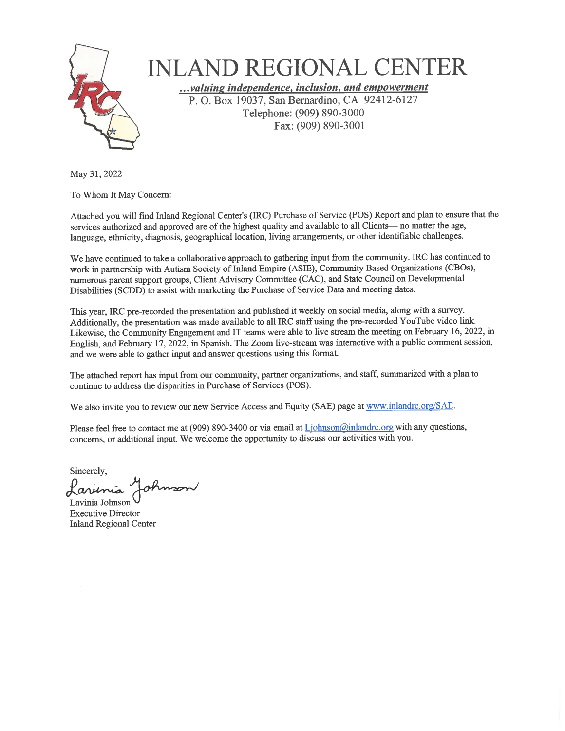

# **INLAND REGIONAL CENTER**

...valuing independence, inclusion, and empowerment P. O. Box 19037, San Bernardino, CA 92412-6127 Telephone: (909) 890-3000 Fax: (909) 890-3001

May 31, 2022

To Whom It May Concern:

Attached you will find Inland Regional Center's (IRC) Purchase of Service (POS) Report and plan to ensure that the services authorized and approved are of the highest quality and available to all Clients- no matter the age, language, ethnicity, diagnosis, geographical location, living arrangements, or other identifiable challenges.

We have continued to take a collaborative approach to gathering input from the community. IRC has continued to work in partnership with Autism Society of Inland Empire (ASIE), Community Based Organizations (CBOs), numerous parent support groups, Client Advisory Committee (CAC), and State Council on Developmental Disabilities (SCDD) to assist with marketing the Purchase of Service Data and meeting dates.

This year, IRC pre-recorded the presentation and published it weekly on social media, along with a survey. Additionally, the presentation was made available to all IRC staff using the pre-recorded YouTube video link. Likewise, the Community Engagement and IT teams were able to live stream the meeting on February 16, 2022, in English, and February 17, 2022, in Spanish. The Zoom live-stream was interactive with a public comment session, and we were able to gather input and answer questions using this format.

The attached report has input from our community, partner organizations, and staff, summarized with a plan to continue to address the disparities in Purchase of Services (POS).

We also invite you to review our new Service Access and Equity (SAE) page at www.inlandrc.org/SAE.

Please feel free to contact me at (909) 890-3400 or via email at Ljohnson@inlandrc.org with any questions, concerns, or additional input. We welcome the opportunity to discuss our activities with you.

Sincerely, ohmson

Lavinia Johnson **Executive Director Inland Regional Center**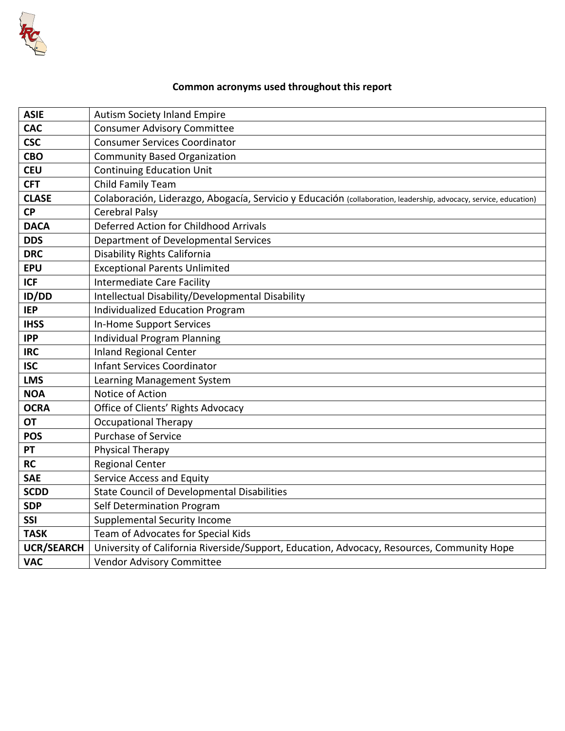

# **Common acronyms used throughout this report**

| <b>ASIE</b>       | <b>Autism Society Inland Empire</b>                                                                               |
|-------------------|-------------------------------------------------------------------------------------------------------------------|
| <b>CAC</b>        | <b>Consumer Advisory Committee</b>                                                                                |
| <b>CSC</b>        | <b>Consumer Services Coordinator</b>                                                                              |
| <b>CBO</b>        | <b>Community Based Organization</b>                                                                               |
| <b>CEU</b>        | <b>Continuing Education Unit</b>                                                                                  |
| <b>CFT</b>        | Child Family Team                                                                                                 |
| <b>CLASE</b>      | Colaboración, Liderazgo, Abogacía, Servicio y Educación (collaboration, leadership, advocacy, service, education) |
| <b>CP</b>         | <b>Cerebral Palsy</b>                                                                                             |
| <b>DACA</b>       | Deferred Action for Childhood Arrivals                                                                            |
| <b>DDS</b>        | Department of Developmental Services                                                                              |
| <b>DRC</b>        | Disability Rights California                                                                                      |
| <b>EPU</b>        | <b>Exceptional Parents Unlimited</b>                                                                              |
| <b>ICF</b>        | <b>Intermediate Care Facility</b>                                                                                 |
| <b>ID/DD</b>      | Intellectual Disability/Developmental Disability                                                                  |
| <b>IEP</b>        | <b>Individualized Education Program</b>                                                                           |
| <b>IHSS</b>       | <b>In-Home Support Services</b>                                                                                   |
| <b>IPP</b>        | <b>Individual Program Planning</b>                                                                                |
| <b>IRC</b>        | <b>Inland Regional Center</b>                                                                                     |
| <b>ISC</b>        | <b>Infant Services Coordinator</b>                                                                                |
| <b>LMS</b>        | Learning Management System                                                                                        |
| <b>NOA</b>        | Notice of Action                                                                                                  |
| <b>OCRA</b>       | Office of Clients' Rights Advocacy                                                                                |
| OT                | <b>Occupational Therapy</b>                                                                                       |
| <b>POS</b>        | Purchase of Service                                                                                               |
| <b>PT</b>         | Physical Therapy                                                                                                  |
| <b>RC</b>         | <b>Regional Center</b>                                                                                            |
| <b>SAE</b>        | Service Access and Equity                                                                                         |
| <b>SCDD</b>       | <b>State Council of Developmental Disabilities</b>                                                                |
| <b>SDP</b>        | Self Determination Program                                                                                        |
| <b>SSI</b>        | <b>Supplemental Security Income</b>                                                                               |
| <b>TASK</b>       | Team of Advocates for Special Kids                                                                                |
| <b>UCR/SEARCH</b> | University of California Riverside/Support, Education, Advocacy, Resources, Community Hope                        |
| <b>VAC</b>        | Vendor Advisory Committee                                                                                         |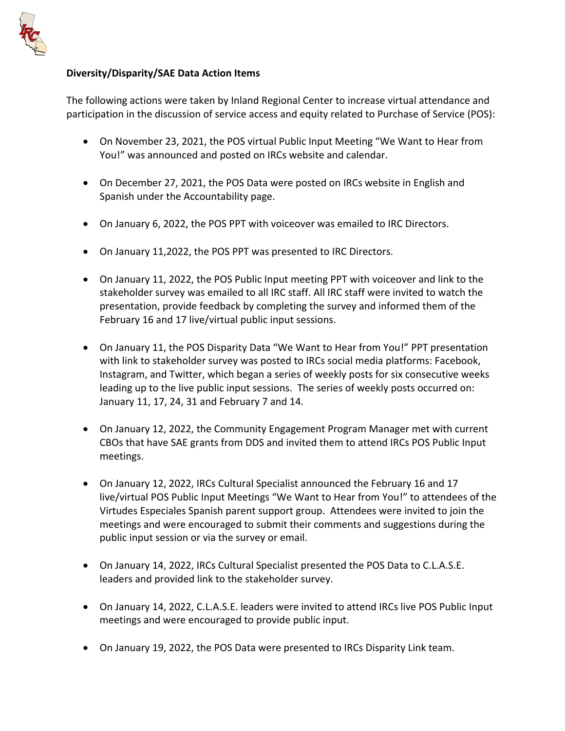

## **Diversity/Disparity/SAE Data Action Items**

The following actions were taken by Inland Regional Center to increase virtual attendance and participation in the discussion of service access and equity related to Purchase of Service (POS):

- On November 23, 2021, the POS virtual Public Input Meeting "We Want to Hear from You!" was announced and posted on IRCs website and calendar.
- On December 27, 2021, the POS Data were posted on IRCs website in English and Spanish under the Accountability page.
- On January 6, 2022, the POS PPT with voiceover was emailed to IRC Directors.
- On January 11,2022, the POS PPT was presented to IRC Directors.
- On January 11, 2022, the POS Public Input meeting PPT with voiceover and link to the stakeholder survey was emailed to all IRC staff. All IRC staff were invited to watch the presentation, provide feedback by completing the survey and informed them of the February 16 and 17 live/virtual public input sessions.
- On January 11, the POS Disparity Data "We Want to Hear from You!" PPT presentation with link to stakeholder survey was posted to IRCs social media platforms: Facebook, Instagram, and Twitter, which began a series of weekly posts for six consecutive weeks leading up to the live public input sessions. The series of weekly posts occurred on: January 11, 17, 24, 31 and February 7 and 14.
- On January 12, 2022, the Community Engagement Program Manager met with current CBOs that have SAE grants from DDS and invited them to attend IRCs POS Public Input meetings.
- On January 12, 2022, IRCs Cultural Specialist announced the February 16 and 17 live/virtual POS Public Input Meetings "We Want to Hear from You!" to attendees of the Virtudes Especiales Spanish parent support group. Attendees were invited to join the meetings and were encouraged to submit their comments and suggestions during the public input session or via the survey or email.
- On January 14, 2022, IRCs Cultural Specialist presented the POS Data to C.L.A.S.E. leaders and provided link to the stakeholder survey.
- On January 14, 2022, C.L.A.S.E. leaders were invited to attend IRCs live POS Public Input meetings and were encouraged to provide public input.
- On January 19, 2022, the POS Data were presented to IRCs Disparity Link team.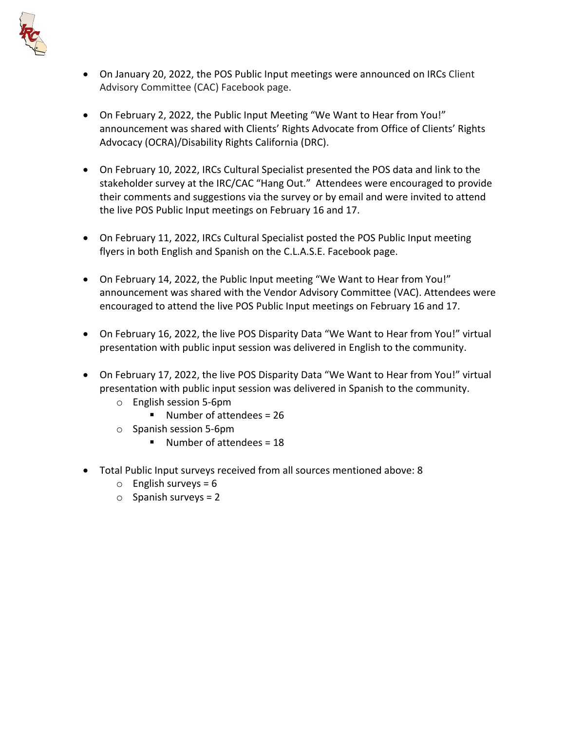

- On January 20, 2022, the POS Public Input meetings were announced on IRCs Client Advisory Committee (CAC) Facebook page.
- On February 2, 2022, the Public Input Meeting "We Want to Hear from You!" announcement was shared with Clients' Rights Advocate from Office of Clients' Rights Advocacy (OCRA)/Disability Rights California (DRC).
- On February 10, 2022, IRCs Cultural Specialist presented the POS data and link to the stakeholder survey at the IRC/CAC "Hang Out." Attendees were encouraged to provide their comments and suggestions via the survey or by email and were invited to attend the live POS Public Input meetings on February 16 and 17.
- On February 11, 2022, IRCs Cultural Specialist posted the POS Public Input meeting flyers in both English and Spanish on the C.L.A.S.E. Facebook page.
- On February 14, 2022, the Public Input meeting "We Want to Hear from You!" announcement was shared with the Vendor Advisory Committee (VAC). Attendees were encouraged to attend the live POS Public Input meetings on February 16 and 17.
- On February 16, 2022, the live POS Disparity Data "We Want to Hear from You!" virtual presentation with public input session was delivered in English to the community.
- On February 17, 2022, the live POS Disparity Data "We Want to Hear from You!" virtual presentation with public input session was delivered in Spanish to the community.
	- o English session 5-6pm
		- $\blacksquare$  Number of attendees = 26
	- o Spanish session 5-6pm
		- Number of attendees =  $18$
- Total Public Input surveys received from all sources mentioned above: 8
	- $\circ$  English surveys = 6
	- $\circ$  Spanish surveys = 2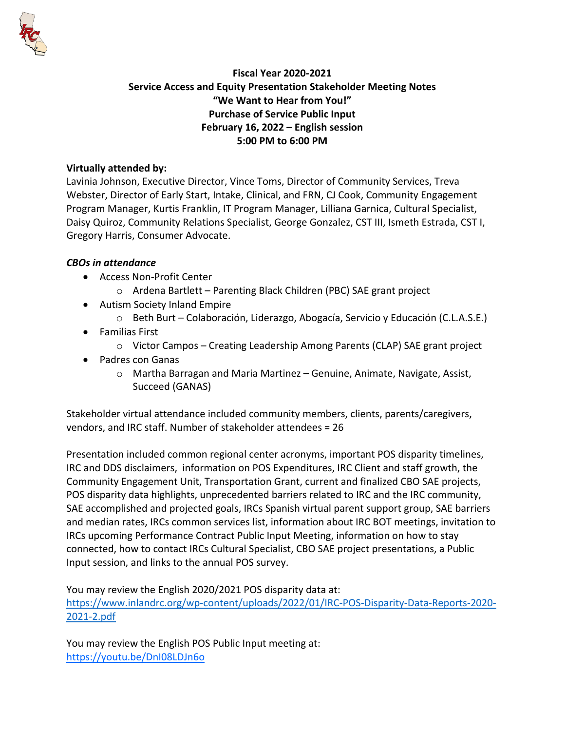

# **Fiscal Year 2020-2021 Service Access and Equity Presentation Stakeholder Meeting Notes "We Want to Hear from You!" Purchase of Service Public Input February 16, 2022 – English session 5:00 PM to 6:00 PM**

#### **Virtually attended by:**

Lavinia Johnson, Executive Director, Vince Toms, Director of Community Services, Treva Webster, Director of Early Start, Intake, Clinical, and FRN, CJ Cook, Community Engagement Program Manager, Kurtis Franklin, IT Program Manager, Lilliana Garnica, Cultural Specialist, Daisy Quiroz, Community Relations Specialist, George Gonzalez, CST III, Ismeth Estrada, CST I, Gregory Harris, Consumer Advocate.

#### *CBOs in attendance*

- Access Non-Profit Center
	- o Ardena Bartlett Parenting Black Children (PBC) SAE grant project
- Autism Society Inland Empire
	- o Beth Burt Colaboración, Liderazgo, Abogacía, Servicio y Educación (C.L.A.S.E.)
- Familias First
	- $\circ$  Victor Campos Creating Leadership Among Parents (CLAP) SAE grant project
- Padres con Ganas
	- o Martha Barragan and Maria Martinez Genuine, Animate, Navigate, Assist, Succeed (GANAS)

Stakeholder virtual attendance included community members, clients, parents/caregivers, vendors, and IRC staff. Number of stakeholder attendees = 26

Presentation included common regional center acronyms, important POS disparity timelines, IRC and DDS disclaimers, information on POS Expenditures, IRC Client and staff growth, the Community Engagement Unit, Transportation Grant, current and finalized CBO SAE projects, POS disparity data highlights, unprecedented barriers related to IRC and the IRC community, SAE accomplished and projected goals, IRCs Spanish virtual parent support group, SAE barriers and median rates, IRCs common services list, information about IRC BOT meetings, invitation to IRCs upcoming Performance Contract Public Input Meeting, information on how to stay connected, how to contact IRCs Cultural Specialist, CBO SAE project presentations, a Public Input session, and links to the annual POS survey.

You may review the English 2020/2021 POS disparity data at:

[https://www.inlandrc.org/wp-content/uploads/2022/01/IRC-POS-Disparity-Data-Reports-2020-](https://nam02.safelinks.protection.outlook.com/?url=https%3A%2F%2Fwww.inlandrc.org%2Fwp-content%2Fuploads%2F2022%2F01%2FIRC-POS-Disparity-Data-Reports-2020-2021-2.pdf&data=04%7C01%7Clgarnica%40inlandrc.org%7Cbb62c278cc2044b18ee508d9efffc3f7%7Ce584e5d8dc4343da892f117a0f676c99%7C0%7C0%7C637804704039229933%7CUnknown%7CTWFpbGZsb3d8eyJWIjoiMC4wLjAwMDAiLCJQIjoiV2luMzIiLCJBTiI6Ik1haWwiLCJXVCI6Mn0%3D%7C3000&sdata=MUux8wPlJiGL5xI6Fe7RSdaMcV0Iv7r1pIAaacHE%2FL0%3D&reserved=0) [2021-2.pdf](https://nam02.safelinks.protection.outlook.com/?url=https%3A%2F%2Fwww.inlandrc.org%2Fwp-content%2Fuploads%2F2022%2F01%2FIRC-POS-Disparity-Data-Reports-2020-2021-2.pdf&data=04%7C01%7Clgarnica%40inlandrc.org%7Cbb62c278cc2044b18ee508d9efffc3f7%7Ce584e5d8dc4343da892f117a0f676c99%7C0%7C0%7C637804704039229933%7CUnknown%7CTWFpbGZsb3d8eyJWIjoiMC4wLjAwMDAiLCJQIjoiV2luMzIiLCJBTiI6Ik1haWwiLCJXVCI6Mn0%3D%7C3000&sdata=MUux8wPlJiGL5xI6Fe7RSdaMcV0Iv7r1pIAaacHE%2FL0%3D&reserved=0)

You may review the English POS Public Input meeting at: <https://youtu.be/DnI08LDJn6o>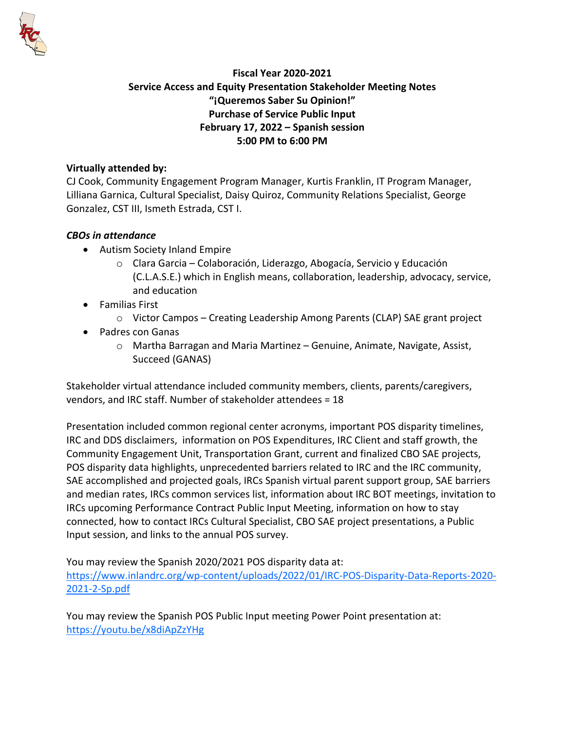

# **Fiscal Year 2020-2021 Service Access and Equity Presentation Stakeholder Meeting Notes "¡Queremos Saber Su Opinion!" Purchase of Service Public Input February 17, 2022 – Spanish session 5:00 PM to 6:00 PM**

#### **Virtually attended by:**

CJ Cook, Community Engagement Program Manager, Kurtis Franklin, IT Program Manager, Lilliana Garnica, Cultural Specialist, Daisy Quiroz, Community Relations Specialist, George Gonzalez, CST III, Ismeth Estrada, CST I.

## *CBOs in attendance*

- Autism Society Inland Empire
	- o Clara Garcia Colaboración, Liderazgo, Abogacía, Servicio y Educación (C.L.A.S.E.) which in English means, collaboration, leadership, advocacy, service, and education
- Familias First
	- $\circ$  Victor Campos Creating Leadership Among Parents (CLAP) SAE grant project
- Padres con Ganas
	- o Martha Barragan and Maria Martinez Genuine, Animate, Navigate, Assist, Succeed (GANAS)

Stakeholder virtual attendance included community members, clients, parents/caregivers, vendors, and IRC staff. Number of stakeholder attendees = 18

Presentation included common regional center acronyms, important POS disparity timelines, IRC and DDS disclaimers, information on POS Expenditures, IRC Client and staff growth, the Community Engagement Unit, Transportation Grant, current and finalized CBO SAE projects, POS disparity data highlights, unprecedented barriers related to IRC and the IRC community, SAE accomplished and projected goals, IRCs Spanish virtual parent support group, SAE barriers and median rates, IRCs common services list, information about IRC BOT meetings, invitation to IRCs upcoming Performance Contract Public Input Meeting, information on how to stay connected, how to contact IRCs Cultural Specialist, CBO SAE project presentations, a Public Input session, and links to the annual POS survey.

You may review the Spanish 2020/2021 POS disparity data at: [https://www.inlandrc.org/wp-content/uploads/2022/01/IRC-POS-Disparity-Data-Reports-2020-](https://www.inlandrc.org/wp-content/uploads/2022/01/IRC-POS-Disparity-Data-Reports-2020-2021-2-Sp.pdf) [2021-2-Sp.pdf](https://www.inlandrc.org/wp-content/uploads/2022/01/IRC-POS-Disparity-Data-Reports-2020-2021-2-Sp.pdf)

You may review the Spanish POS Public Input meeting Power Point presentation at: <https://youtu.be/x8diApZzYHg>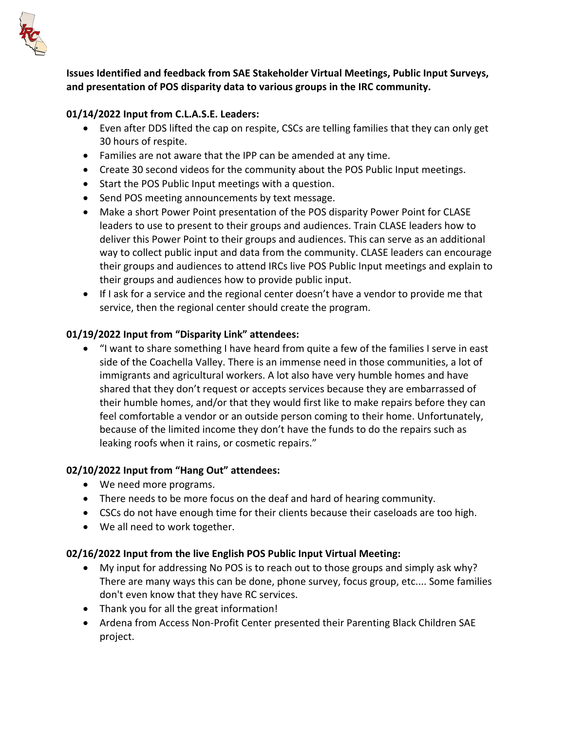

**Issues Identified and feedback from SAE Stakeholder Virtual Meetings, Public Input Surveys, and presentation of POS disparity data to various groups in the IRC community.**

## **01/14/2022 Input from C.L.A.S.E. Leaders:**

- Even after DDS lifted the cap on respite, CSCs are telling families that they can only get 30 hours of respite.
- Families are not aware that the IPP can be amended at any time.
- Create 30 second videos for the community about the POS Public Input meetings.
- Start the POS Public Input meetings with a question.
- Send POS meeting announcements by text message.
- Make a short Power Point presentation of the POS disparity Power Point for CLASE leaders to use to present to their groups and audiences. Train CLASE leaders how to deliver this Power Point to their groups and audiences. This can serve as an additional way to collect public input and data from the community. CLASE leaders can encourage their groups and audiences to attend IRCs live POS Public Input meetings and explain to their groups and audiences how to provide public input.
- If I ask for a service and the regional center doesn't have a vendor to provide me that service, then the regional center should create the program.

## **01/19/2022 Input from "Disparity Link" attendees:**

• "I want to share something I have heard from quite a few of the families I serve in east side of the Coachella Valley. There is an immense need in those communities, a lot of immigrants and agricultural workers. A lot also have very humble homes and have shared that they don't request or accepts services because they are embarrassed of their humble homes, and/or that they would first like to make repairs before they can feel comfortable a vendor or an outside person coming to their home. Unfortunately, because of the limited income they don't have the funds to do the repairs such as leaking roofs when it rains, or cosmetic repairs."

## **02/10/2022 Input from "Hang Out" attendees:**

- We need more programs.
- There needs to be more focus on the deaf and hard of hearing community.
- CSCs do not have enough time for their clients because their caseloads are too high.
- We all need to work together.

#### **02/16/2022 Input from the live English POS Public Input Virtual Meeting:**

- My input for addressing No POS is to reach out to those groups and simply ask why? There are many ways this can be done, phone survey, focus group, etc.... Some families don't even know that they have RC services.
- Thank you for all the great information!
- Ardena from Access Non-Profit Center presented their Parenting Black Children SAE project.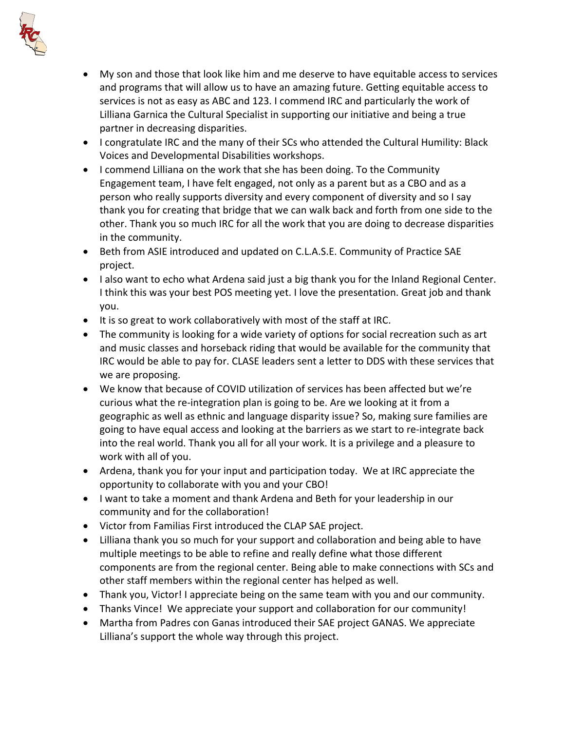

- My son and those that look like him and me deserve to have equitable access to services and programs that will allow us to have an amazing future. Getting equitable access to services is not as easy as ABC and 123. I commend IRC and particularly the work of Lilliana Garnica the Cultural Specialist in supporting our initiative and being a true partner in decreasing disparities.
- I congratulate IRC and the many of their SCs who attended the Cultural Humility: Black Voices and Developmental Disabilities workshops.
- I commend Lilliana on the work that she has been doing. To the Community Engagement team, I have felt engaged, not only as a parent but as a CBO and as a person who really supports diversity and every component of diversity and so I say thank you for creating that bridge that we can walk back and forth from one side to the other. Thank you so much IRC for all the work that you are doing to decrease disparities in the community.
- Beth from ASIE introduced and updated on C.L.A.S.E. Community of Practice SAE project.
- I also want to echo what Ardena said just a big thank you for the Inland Regional Center. I think this was your best POS meeting yet. I love the presentation. Great job and thank you.
- It is so great to work collaboratively with most of the staff at IRC.
- The community is looking for a wide variety of options for social recreation such as art and music classes and horseback riding that would be available for the community that IRC would be able to pay for. CLASE leaders sent a letter to DDS with these services that we are proposing.
- We know that because of COVID utilization of services has been affected but we're curious what the re-integration plan is going to be. Are we looking at it from a geographic as well as ethnic and language disparity issue? So, making sure families are going to have equal access and looking at the barriers as we start to re-integrate back into the real world. Thank you all for all your work. It is a privilege and a pleasure to work with all of you.
- Ardena, thank you for your input and participation today. We at IRC appreciate the opportunity to collaborate with you and your CBO!
- I want to take a moment and thank Ardena and Beth for your leadership in our community and for the collaboration!
- Victor from Familias First introduced the CLAP SAE project.
- Lilliana thank you so much for your support and collaboration and being able to have multiple meetings to be able to refine and really define what those different components are from the regional center. Being able to make connections with SCs and other staff members within the regional center has helped as well.
- Thank you, Victor! I appreciate being on the same team with you and our community.
- Thanks Vince! We appreciate your support and collaboration for our community!
- Martha from Padres con Ganas introduced their SAE project GANAS. We appreciate Lilliana's support the whole way through this project.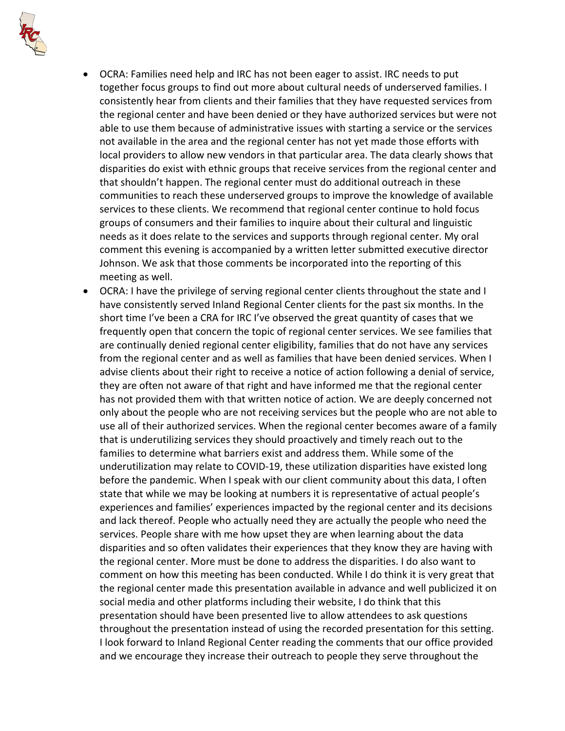

- OCRA: Families need help and IRC has not been eager to assist. IRC needs to put together focus groups to find out more about cultural needs of underserved families. I consistently hear from clients and their families that they have requested services from the regional center and have been denied or they have authorized services but were not able to use them because of administrative issues with starting a service or the services not available in the area and the regional center has not yet made those efforts with local providers to allow new vendors in that particular area. The data clearly shows that disparities do exist with ethnic groups that receive services from the regional center and that shouldn't happen. The regional center must do additional outreach in these communities to reach these underserved groups to improve the knowledge of available services to these clients. We recommend that regional center continue to hold focus groups of consumers and their families to inquire about their cultural and linguistic needs as it does relate to the services and supports through regional center. My oral comment this evening is accompanied by a written letter submitted executive director Johnson. We ask that those comments be incorporated into the reporting of this meeting as well.
- OCRA: I have the privilege of serving regional center clients throughout the state and I have consistently served Inland Regional Center clients for the past six months. In the short time I've been a CRA for IRC I've observed the great quantity of cases that we frequently open that concern the topic of regional center services. We see families that are continually denied regional center eligibility, families that do not have any services from the regional center and as well as families that have been denied services. When I advise clients about their right to receive a notice of action following a denial of service, they are often not aware of that right and have informed me that the regional center has not provided them with that written notice of action. We are deeply concerned not only about the people who are not receiving services but the people who are not able to use all of their authorized services. When the regional center becomes aware of a family that is underutilizing services they should proactively and timely reach out to the families to determine what barriers exist and address them. While some of the underutilization may relate to COVID-19, these utilization disparities have existed long before the pandemic. When I speak with our client community about this data, I often state that while we may be looking at numbers it is representative of actual people's experiences and families' experiences impacted by the regional center and its decisions and lack thereof. People who actually need they are actually the people who need the services. People share with me how upset they are when learning about the data disparities and so often validates their experiences that they know they are having with the regional center. More must be done to address the disparities. I do also want to comment on how this meeting has been conducted. While I do think it is very great that the regional center made this presentation available in advance and well publicized it on social media and other platforms including their website, I do think that this presentation should have been presented live to allow attendees to ask questions throughout the presentation instead of using the recorded presentation for this setting. I look forward to Inland Regional Center reading the comments that our office provided and we encourage they increase their outreach to people they serve throughout the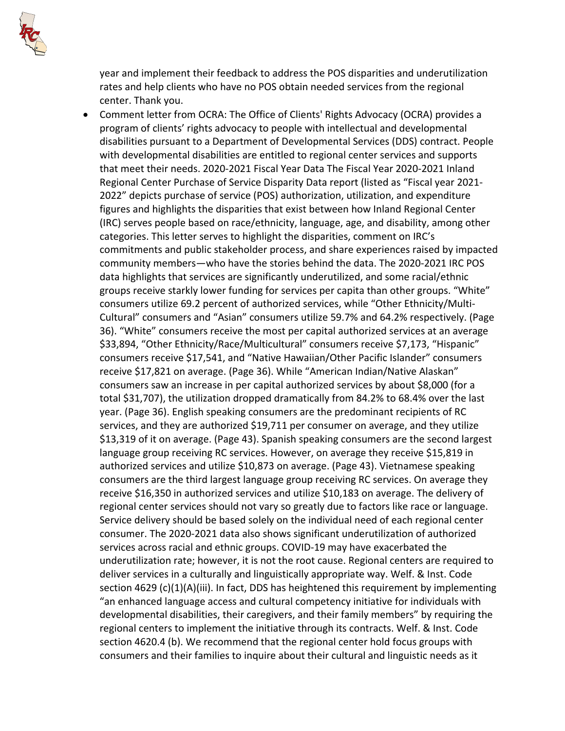

year and implement their feedback to address the POS disparities and underutilization rates and help clients who have no POS obtain needed services from the regional center. Thank you.

• Comment letter from OCRA: The Office of Clients' Rights Advocacy (OCRA) provides a program of clients' rights advocacy to people with intellectual and developmental disabilities pursuant to a Department of Developmental Services (DDS) contract. People with developmental disabilities are entitled to regional center services and supports that meet their needs. 2020-2021 Fiscal Year Data The Fiscal Year 2020-2021 Inland Regional Center Purchase of Service Disparity Data report (listed as "Fiscal year 2021- 2022" depicts purchase of service (POS) authorization, utilization, and expenditure figures and highlights the disparities that exist between how Inland Regional Center (IRC) serves people based on race/ethnicity, language, age, and disability, among other categories. This letter serves to highlight the disparities, comment on IRC's commitments and public stakeholder process, and share experiences raised by impacted community members—who have the stories behind the data. The 2020-2021 IRC POS data highlights that services are significantly underutilized, and some racial/ethnic groups receive starkly lower funding for services per capita than other groups. "White" consumers utilize 69.2 percent of authorized services, while "Other Ethnicity/Multi-Cultural" consumers and "Asian" consumers utilize 59.7% and 64.2% respectively. (Page 36). "White" consumers receive the most per capital authorized services at an average \$33,894, "Other Ethnicity/Race/Multicultural" consumers receive \$7,173, "Hispanic" consumers receive \$17,541, and "Native Hawaiian/Other Pacific Islander" consumers receive \$17,821 on average. (Page 36). While "American Indian/Native Alaskan" consumers saw an increase in per capital authorized services by about \$8,000 (for a total \$31,707), the utilization dropped dramatically from 84.2% to 68.4% over the last year. (Page 36). English speaking consumers are the predominant recipients of RC services, and they are authorized \$19,711 per consumer on average, and they utilize \$13,319 of it on average. (Page 43). Spanish speaking consumers are the second largest language group receiving RC services. However, on average they receive \$15,819 in authorized services and utilize \$10,873 on average. (Page 43). Vietnamese speaking consumers are the third largest language group receiving RC services. On average they receive \$16,350 in authorized services and utilize \$10,183 on average. The delivery of regional center services should not vary so greatly due to factors like race or language. Service delivery should be based solely on the individual need of each regional center consumer. The 2020-2021 data also shows significant underutilization of authorized services across racial and ethnic groups. COVID-19 may have exacerbated the underutilization rate; however, it is not the root cause. Regional centers are required to deliver services in a culturally and linguistically appropriate way. Welf. & Inst. Code section 4629 (c)(1)(A)(iii). In fact, DDS has heightened this requirement by implementing "an enhanced language access and cultural competency initiative for individuals with developmental disabilities, their caregivers, and their family members" by requiring the regional centers to implement the initiative through its contracts. Welf. & Inst. Code section 4620.4 (b). We recommend that the regional center hold focus groups with consumers and their families to inquire about their cultural and linguistic needs as it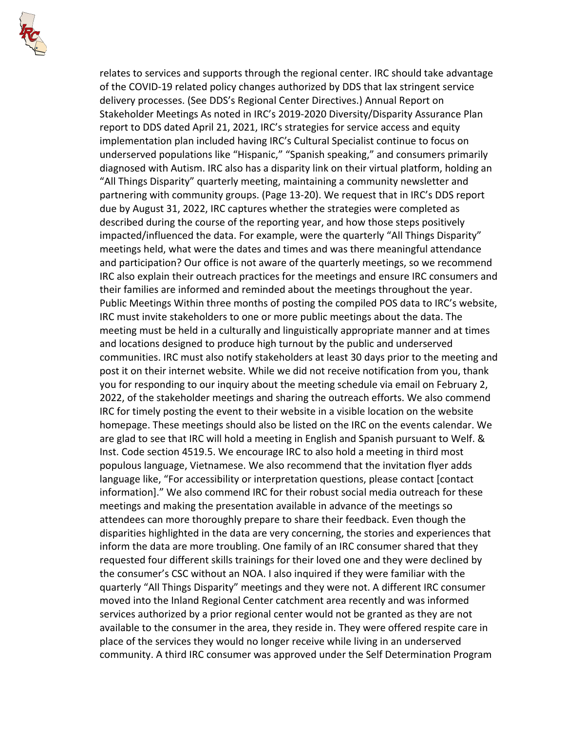

relates to services and supports through the regional center. IRC should take advantage of the COVID-19 related policy changes authorized by DDS that lax stringent service delivery processes. (See DDS's Regional Center Directives.) Annual Report on Stakeholder Meetings As noted in IRC's 2019-2020 Diversity/Disparity Assurance Plan report to DDS dated April 21, 2021, IRC's strategies for service access and equity implementation plan included having IRC's Cultural Specialist continue to focus on underserved populations like "Hispanic," "Spanish speaking," and consumers primarily diagnosed with Autism. IRC also has a disparity link on their virtual platform, holding an "All Things Disparity" quarterly meeting, maintaining a community newsletter and partnering with community groups. (Page 13-20). We request that in IRC's DDS report due by August 31, 2022, IRC captures whether the strategies were completed as described during the course of the reporting year, and how those steps positively impacted/influenced the data. For example, were the quarterly "All Things Disparity" meetings held, what were the dates and times and was there meaningful attendance and participation? Our office is not aware of the quarterly meetings, so we recommend IRC also explain their outreach practices for the meetings and ensure IRC consumers and their families are informed and reminded about the meetings throughout the year. Public Meetings Within three months of posting the compiled POS data to IRC's website, IRC must invite stakeholders to one or more public meetings about the data. The meeting must be held in a culturally and linguistically appropriate manner and at times and locations designed to produce high turnout by the public and underserved communities. IRC must also notify stakeholders at least 30 days prior to the meeting and post it on their internet website. While we did not receive notification from you, thank you for responding to our inquiry about the meeting schedule via email on February 2, 2022, of the stakeholder meetings and sharing the outreach efforts. We also commend IRC for timely posting the event to their website in a visible location on the website homepage. These meetings should also be listed on the IRC on the events calendar. We are glad to see that IRC will hold a meeting in English and Spanish pursuant to Welf. & Inst. Code section 4519.5. We encourage IRC to also hold a meeting in third most populous language, Vietnamese. We also recommend that the invitation flyer adds language like, "For accessibility or interpretation questions, please contact [contact information]." We also commend IRC for their robust social media outreach for these meetings and making the presentation available in advance of the meetings so attendees can more thoroughly prepare to share their feedback. Even though the disparities highlighted in the data are very concerning, the stories and experiences that inform the data are more troubling. One family of an IRC consumer shared that they requested four different skills trainings for their loved one and they were declined by the consumer's CSC without an NOA. I also inquired if they were familiar with the quarterly "All Things Disparity" meetings and they were not. A different IRC consumer moved into the Inland Regional Center catchment area recently and was informed services authorized by a prior regional center would not be granted as they are not available to the consumer in the area, they reside in. They were offered respite care in place of the services they would no longer receive while living in an underserved community. A third IRC consumer was approved under the Self Determination Program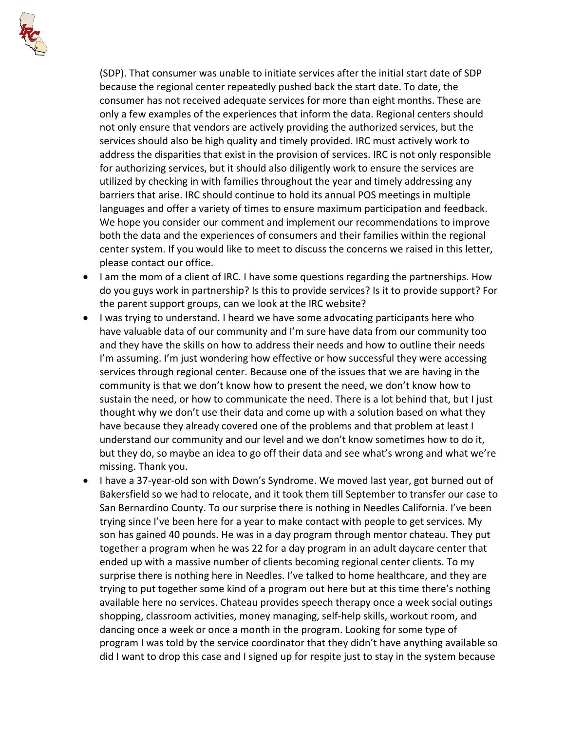

(SDP). That consumer was unable to initiate services after the initial start date of SDP because the regional center repeatedly pushed back the start date. To date, the consumer has not received adequate services for more than eight months. These are only a few examples of the experiences that inform the data. Regional centers should not only ensure that vendors are actively providing the authorized services, but the services should also be high quality and timely provided. IRC must actively work to address the disparities that exist in the provision of services. IRC is not only responsible for authorizing services, but it should also diligently work to ensure the services are utilized by checking in with families throughout the year and timely addressing any barriers that arise. IRC should continue to hold its annual POS meetings in multiple languages and offer a variety of times to ensure maximum participation and feedback. We hope you consider our comment and implement our recommendations to improve both the data and the experiences of consumers and their families within the regional center system. If you would like to meet to discuss the concerns we raised in this letter, please contact our office.

- I am the mom of a client of IRC. I have some questions regarding the partnerships. How do you guys work in partnership? Is this to provide services? Is it to provide support? For the parent support groups, can we look at the IRC website?
- I was trying to understand. I heard we have some advocating participants here who have valuable data of our community and I'm sure have data from our community too and they have the skills on how to address their needs and how to outline their needs I'm assuming. I'm just wondering how effective or how successful they were accessing services through regional center. Because one of the issues that we are having in the community is that we don't know how to present the need, we don't know how to sustain the need, or how to communicate the need. There is a lot behind that, but I just thought why we don't use their data and come up with a solution based on what they have because they already covered one of the problems and that problem at least I understand our community and our level and we don't know sometimes how to do it, but they do, so maybe an idea to go off their data and see what's wrong and what we're missing. Thank you.
- I have a 37-year-old son with Down's Syndrome. We moved last year, got burned out of Bakersfield so we had to relocate, and it took them till September to transfer our case to San Bernardino County. To our surprise there is nothing in Needles California. I've been trying since I've been here for a year to make contact with people to get services. My son has gained 40 pounds. He was in a day program through mentor chateau. They put together a program when he was 22 for a day program in an adult daycare center that ended up with a massive number of clients becoming regional center clients. To my surprise there is nothing here in Needles. I've talked to home healthcare, and they are trying to put together some kind of a program out here but at this time there's nothing available here no services. Chateau provides speech therapy once a week social outings shopping, classroom activities, money managing, self-help skills, workout room, and dancing once a week or once a month in the program. Looking for some type of program I was told by the service coordinator that they didn't have anything available so did I want to drop this case and I signed up for respite just to stay in the system because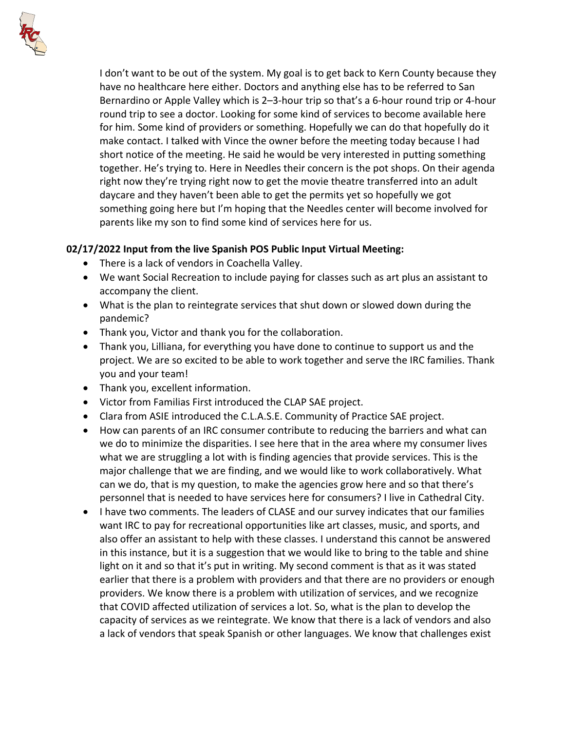

I don't want to be out of the system. My goal is to get back to Kern County because they have no healthcare here either. Doctors and anything else has to be referred to San Bernardino or Apple Valley which is 2–3-hour trip so that's a 6-hour round trip or 4-hour round trip to see a doctor. Looking for some kind of services to become available here for him. Some kind of providers or something. Hopefully we can do that hopefully do it make contact. I talked with Vince the owner before the meeting today because I had short notice of the meeting. He said he would be very interested in putting something together. He's trying to. Here in Needles their concern is the pot shops. On their agenda right now they're trying right now to get the movie theatre transferred into an adult daycare and they haven't been able to get the permits yet so hopefully we got something going here but I'm hoping that the Needles center will become involved for parents like my son to find some kind of services here for us.

# **02/17/2022 Input from the live Spanish POS Public Input Virtual Meeting:**

- There is a lack of vendors in Coachella Valley.
- We want Social Recreation to include paying for classes such as art plus an assistant to accompany the client.
- What is the plan to reintegrate services that shut down or slowed down during the pandemic?
- Thank you, Victor and thank you for the collaboration.
- Thank you, Lilliana, for everything you have done to continue to support us and the project. We are so excited to be able to work together and serve the IRC families. Thank you and your team!
- Thank you, excellent information.
- Victor from Familias First introduced the CLAP SAE project.
- Clara from ASIE introduced the C.L.A.S.E. Community of Practice SAE project.
- How can parents of an IRC consumer contribute to reducing the barriers and what can we do to minimize the disparities. I see here that in the area where my consumer lives what we are struggling a lot with is finding agencies that provide services. This is the major challenge that we are finding, and we would like to work collaboratively. What can we do, that is my question, to make the agencies grow here and so that there's personnel that is needed to have services here for consumers? I live in Cathedral City.
- I have two comments. The leaders of CLASE and our survey indicates that our families want IRC to pay for recreational opportunities like art classes, music, and sports, and also offer an assistant to help with these classes. I understand this cannot be answered in this instance, but it is a suggestion that we would like to bring to the table and shine light on it and so that it's put in writing. My second comment is that as it was stated earlier that there is a problem with providers and that there are no providers or enough providers. We know there is a problem with utilization of services, and we recognize that COVID affected utilization of services a lot. So, what is the plan to develop the capacity of services as we reintegrate. We know that there is a lack of vendors and also a lack of vendors that speak Spanish or other languages. We know that challenges exist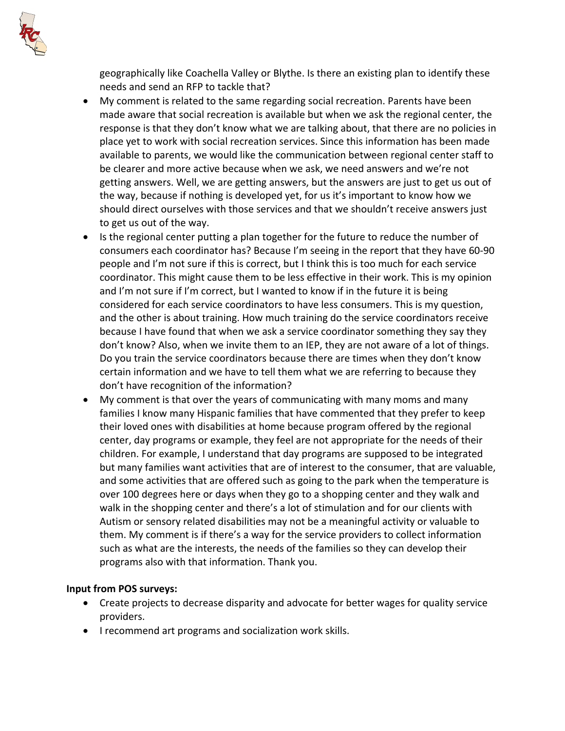geographically like Coachella Valley or Blythe. Is there an existing plan to identify these needs and send an RFP to tackle that?

- My comment is related to the same regarding social recreation. Parents have been made aware that social recreation is available but when we ask the regional center, the response is that they don't know what we are talking about, that there are no policies in place yet to work with social recreation services. Since this information has been made available to parents, we would like the communication between regional center staff to be clearer and more active because when we ask, we need answers and we're not getting answers. Well, we are getting answers, but the answers are just to get us out of the way, because if nothing is developed yet, for us it's important to know how we should direct ourselves with those services and that we shouldn't receive answers just to get us out of the way.
- Is the regional center putting a plan together for the future to reduce the number of consumers each coordinator has? Because I'm seeing in the report that they have 60-90 people and I'm not sure if this is correct, but I think this is too much for each service coordinator. This might cause them to be less effective in their work. This is my opinion and I'm not sure if I'm correct, but I wanted to know if in the future it is being considered for each service coordinators to have less consumers. This is my question, and the other is about training. How much training do the service coordinators receive because I have found that when we ask a service coordinator something they say they don't know? Also, when we invite them to an IEP, they are not aware of a lot of things. Do you train the service coordinators because there are times when they don't know certain information and we have to tell them what we are referring to because they don't have recognition of the information?
- My comment is that over the years of communicating with many moms and many families I know many Hispanic families that have commented that they prefer to keep their loved ones with disabilities at home because program offered by the regional center, day programs or example, they feel are not appropriate for the needs of their children. For example, I understand that day programs are supposed to be integrated but many families want activities that are of interest to the consumer, that are valuable, and some activities that are offered such as going to the park when the temperature is over 100 degrees here or days when they go to a shopping center and they walk and walk in the shopping center and there's a lot of stimulation and for our clients with Autism or sensory related disabilities may not be a meaningful activity or valuable to them. My comment is if there's a way for the service providers to collect information such as what are the interests, the needs of the families so they can develop their programs also with that information. Thank you.

## **Input from POS surveys:**

- Create projects to decrease disparity and advocate for better wages for quality service providers.
- I recommend art programs and socialization work skills.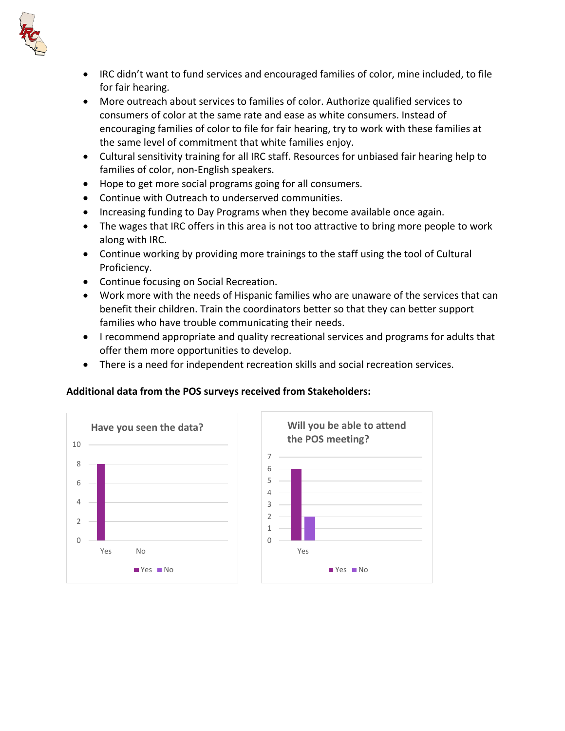

- IRC didn't want to fund services and encouraged families of color, mine included, to file for fair hearing.
- More outreach about services to families of color. Authorize qualified services to consumers of color at the same rate and ease as white consumers. Instead of encouraging families of color to file for fair hearing, try to work with these families at the same level of commitment that white families enjoy.
- Cultural sensitivity training for all IRC staff. Resources for unbiased fair hearing help to families of color, non-English speakers.
- Hope to get more social programs going for all consumers.
- Continue with Outreach to underserved communities.
- Increasing funding to Day Programs when they become available once again.
- The wages that IRC offers in this area is not too attractive to bring more people to work along with IRC.
- Continue working by providing more trainings to the staff using the tool of Cultural Proficiency.
- Continue focusing on Social Recreation.
- Work more with the needs of Hispanic families who are unaware of the services that can benefit their children. Train the coordinators better so that they can better support families who have trouble communicating their needs.
- I recommend appropriate and quality recreational services and programs for adults that offer them more opportunities to develop.
- There is a need for independent recreation skills and social recreation services.

## **Additional data from the POS surveys received from Stakeholders:**



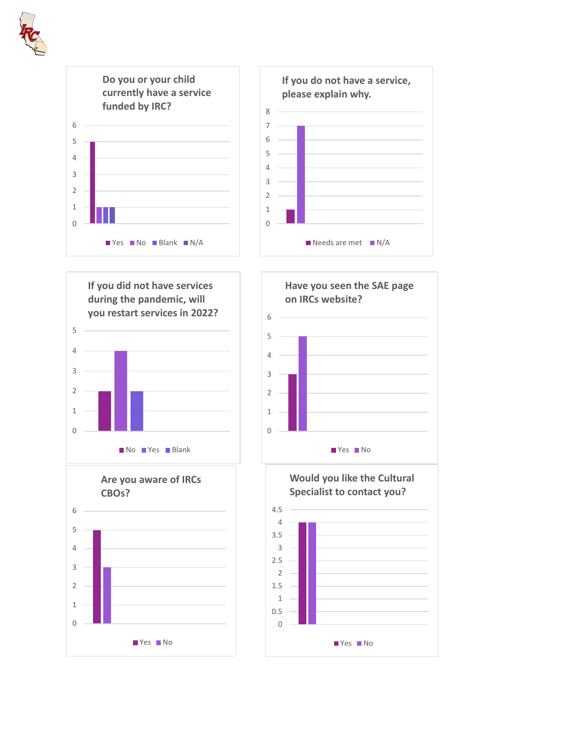











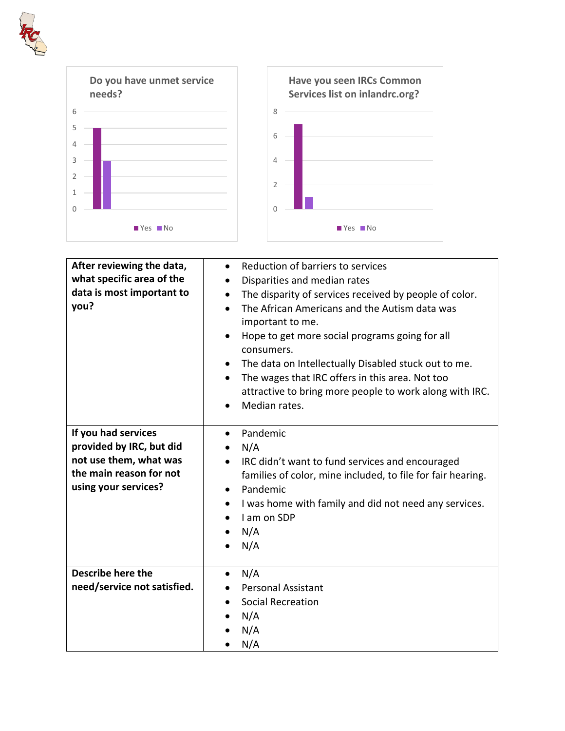



| After reviewing the data,<br>what specific area of the<br>data is most important to<br>you?<br>If you had services<br>provided by IRC, but did | Reduction of barriers to services<br>$\bullet$<br>Disparities and median rates<br>$\bullet$<br>The disparity of services received by people of color.<br>$\bullet$<br>The African Americans and the Autism data was<br>$\bullet$<br>important to me.<br>Hope to get more social programs going for all<br>$\bullet$<br>consumers.<br>The data on Intellectually Disabled stuck out to me.<br>$\bullet$<br>The wages that IRC offers in this area. Not too<br>$\bullet$<br>attractive to bring more people to work along with IRC.<br>Median rates.<br>Pandemic<br>$\bullet$<br>N/A<br>$\bullet$ |
|------------------------------------------------------------------------------------------------------------------------------------------------|-------------------------------------------------------------------------------------------------------------------------------------------------------------------------------------------------------------------------------------------------------------------------------------------------------------------------------------------------------------------------------------------------------------------------------------------------------------------------------------------------------------------------------------------------------------------------------------------------|
| not use them, what was<br>the main reason for not<br>using your services?                                                                      | IRC didn't want to fund services and encouraged<br>families of color, mine included, to file for fair hearing.<br>Pandemic<br>$\bullet$<br>I was home with family and did not need any services.<br>٠<br>I am on SDP<br>$\bullet$<br>N/A<br>N/A                                                                                                                                                                                                                                                                                                                                                 |
| <b>Describe here the</b><br>need/service not satisfied.                                                                                        | N/A<br><b>Personal Assistant</b><br><b>Social Recreation</b><br>N/A<br>N/A<br>N/A                                                                                                                                                                                                                                                                                                                                                                                                                                                                                                               |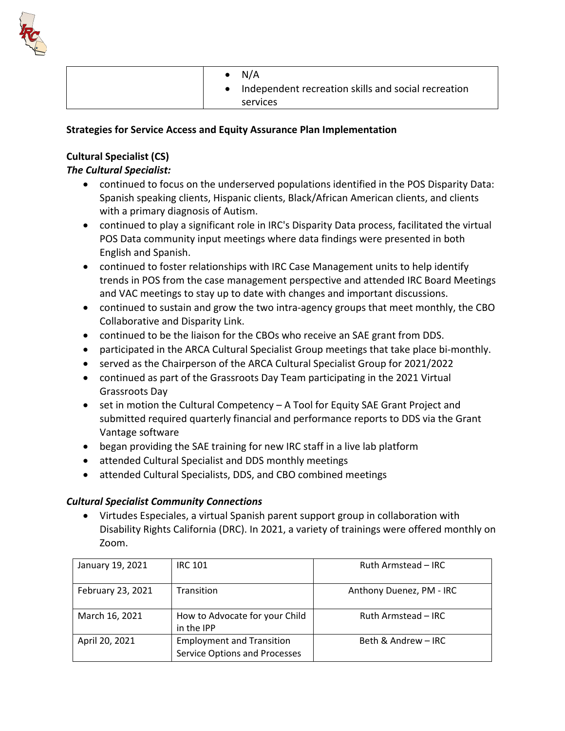

| N/A                                                 |
|-----------------------------------------------------|
| Independent recreation skills and social recreation |
| services                                            |

#### **Strategies for Service Access and Equity Assurance Plan Implementation**

# **Cultural Specialist (CS)**

# *The Cultural Specialist:*

- continued to focus on the underserved populations identified in the POS Disparity Data: Spanish speaking clients, Hispanic clients, Black/African American clients, and clients with a primary diagnosis of Autism.
- continued to play a significant role in IRC's Disparity Data process, facilitated the virtual POS Data community input meetings where data findings were presented in both English and Spanish.
- continued to foster relationships with IRC Case Management units to help identify trends in POS from the case management perspective and attended IRC Board Meetings and VAC meetings to stay up to date with changes and important discussions.
- continued to sustain and grow the two intra-agency groups that meet monthly, the CBO Collaborative and Disparity Link.
- continued to be the liaison for the CBOs who receive an SAE grant from DDS.
- participated in the ARCA Cultural Specialist Group meetings that take place bi-monthly.
- served as the Chairperson of the ARCA Cultural Specialist Group for 2021/2022
- continued as part of the Grassroots Day Team participating in the 2021 Virtual Grassroots Day
- set in motion the Cultural Competency A Tool for Equity SAE Grant Project and submitted required quarterly financial and performance reports to DDS via the Grant Vantage software
- began providing the SAE training for new IRC staff in a live lab platform
- attended Cultural Specialist and DDS monthly meetings
- attended Cultural Specialists, DDS, and CBO combined meetings

## *Cultural Specialist Community Connections*

• Virtudes Especiales, a virtual Spanish parent support group in collaboration with Disability Rights California (DRC). In 2021, a variety of trainings were offered monthly on Zoom.

| January 19, 2021  | <b>IRC 101</b>                                                           | Ruth Armstead - IRC      |
|-------------------|--------------------------------------------------------------------------|--------------------------|
| February 23, 2021 | Transition                                                               | Anthony Duenez, PM - IRC |
| March 16, 2021    | How to Advocate for your Child<br>in the IPP                             | Ruth Armstead - IRC      |
| April 20, 2021    | <b>Employment and Transition</b><br><b>Service Options and Processes</b> | Beth & Andrew - IRC      |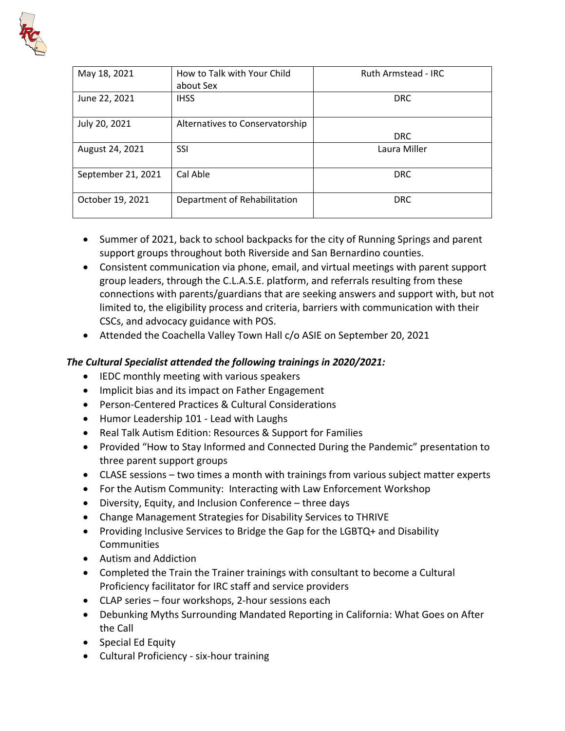

| May 18, 2021       | How to Talk with Your Child     | Ruth Armstead - IRC |
|--------------------|---------------------------------|---------------------|
|                    | about Sex                       |                     |
| June 22, 2021      | <b>IHSS</b>                     | <b>DRC</b>          |
| July 20, 2021      | Alternatives to Conservatorship |                     |
|                    |                                 | <b>DRC</b>          |
| August 24, 2021    | <b>SSI</b>                      | Laura Miller        |
| September 21, 2021 | Cal Able                        | <b>DRC</b>          |
| October 19, 2021   | Department of Rehabilitation    | <b>DRC</b>          |

- Summer of 2021, back to school backpacks for the city of Running Springs and parent support groups throughout both Riverside and San Bernardino counties.
- Consistent communication via phone, email, and virtual meetings with parent support group leaders, through the C.L.A.S.E. platform, and referrals resulting from these connections with parents/guardians that are seeking answers and support with, but not limited to, the eligibility process and criteria, barriers with communication with their CSCs, and advocacy guidance with POS.
- Attended the Coachella Valley Town Hall c/o ASIE on September 20, 2021

# *The Cultural Specialist attended the following trainings in 2020/2021:*

- IEDC monthly meeting with various speakers
- Implicit bias and its impact on Father Engagement
- Person-Centered Practices & Cultural Considerations
- Humor Leadership 101 Lead with Laughs
- Real Talk Autism Edition: Resources & Support for Families
- Provided "How to Stay Informed and Connected During the Pandemic" presentation to three parent support groups
- CLASE sessions two times a month with trainings from various subject matter experts
- For the Autism Community: Interacting with Law Enforcement Workshop
- Diversity, Equity, and Inclusion Conference three days
- Change Management Strategies for Disability Services to THRIVE
- Providing Inclusive Services to Bridge the Gap for the LGBTQ+ and Disability **Communities**
- Autism and Addiction
- Completed the Train the Trainer trainings with consultant to become a Cultural Proficiency facilitator for IRC staff and service providers
- CLAP series four workshops, 2-hour sessions each
- Debunking Myths Surrounding Mandated Reporting in California: What Goes on After the Call
- Special Ed Equity
- Cultural Proficiency six-hour training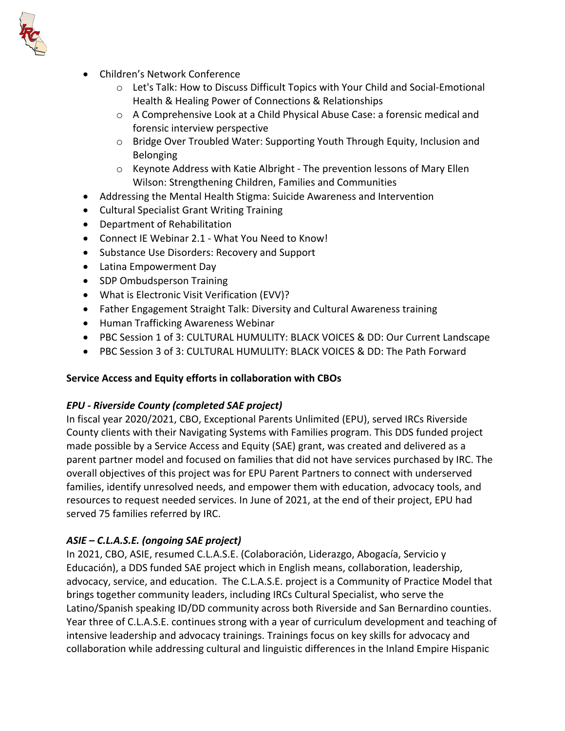

- Children's Network Conference
	- $\circ$  Let's Talk: How to Discuss Difficult Topics with Your Child and Social-Emotional Health & Healing Power of Connections & Relationships
	- o A Comprehensive Look at a Child Physical Abuse Case: a forensic medical and forensic interview perspective
	- o Bridge Over Troubled Water: Supporting Youth Through Equity, Inclusion and Belonging
	- $\circ$  Keynote Address with Katie Albright The prevention lessons of Mary Ellen Wilson: Strengthening Children, Families and Communities
- Addressing the Mental Health Stigma: Suicide Awareness and Intervention
- Cultural Specialist Grant Writing Training
- Department of Rehabilitation
- Connect IE Webinar 2.1 What You Need to Know!
- Substance Use Disorders: Recovery and Support
- Latina Empowerment Day
- SDP Ombudsperson Training
- What is Electronic Visit Verification (EVV)?
- Father Engagement Straight Talk: Diversity and Cultural Awareness training
- Human Trafficking Awareness Webinar
- PBC Session 1 of 3: CULTURAL HUMULITY: BLACK VOICES & DD: Our Current Landscape
- PBC Session 3 of 3: CULTURAL HUMULITY: BLACK VOICES & DD: The Path Forward

## **Service Access and Equity efforts in collaboration with CBOs**

## *EPU - Riverside County (completed SAE project)*

In fiscal year 2020/2021, CBO, Exceptional Parents Unlimited (EPU), served IRCs Riverside County clients with their Navigating Systems with Families program. This DDS funded project made possible by a Service Access and Equity (SAE) grant, was created and delivered as a parent partner model and focused on families that did not have services purchased by IRC. The overall objectives of this project was for EPU Parent Partners to connect with underserved families, identify unresolved needs, and empower them with education, advocacy tools, and resources to request needed services. In June of 2021, at the end of their project, EPU had served 75 families referred by IRC.

## *ASIE – C.L.A.S.E. (ongoing SAE project)*

In 2021, CBO, ASIE, resumed C.L.A.S.E. (Colaboración, Liderazgo, Abogacía, Servicio y Educación), a DDS funded SAE project which in English means, collaboration, leadership, advocacy, service, and education. The C.L.A.S.E. project is a Community of Practice Model that brings together community leaders, including IRCs Cultural Specialist, who serve the Latino/Spanish speaking ID/DD community across both Riverside and San Bernardino counties. Year three of C.L.A.S.E. continues strong with a year of curriculum development and teaching of intensive leadership and advocacy trainings. Trainings focus on key skills for advocacy and collaboration while addressing cultural and linguistic differences in the Inland Empire Hispanic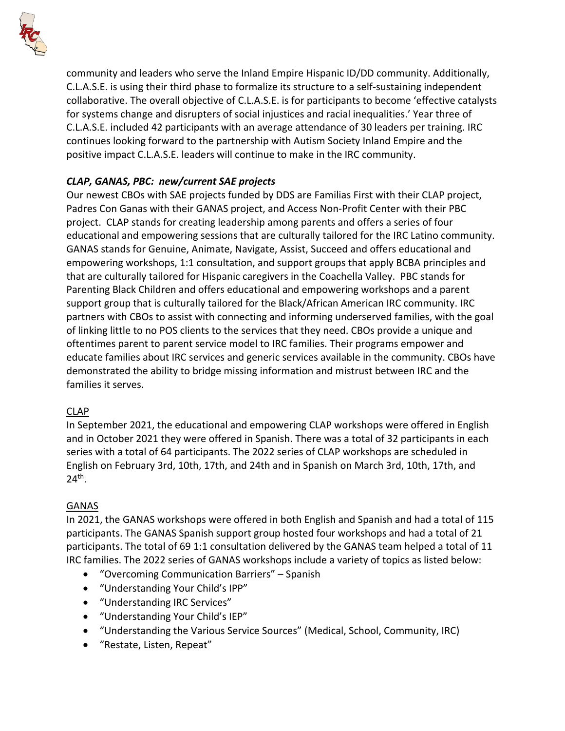

community and leaders who serve the Inland Empire Hispanic ID/DD community. Additionally, C.L.A.S.E. is using their third phase to formalize its structure to a self-sustaining independent collaborative. The overall objective of C.L.A.S.E. is for participants to become 'effective catalysts for systems change and disrupters of social injustices and racial inequalities.' Year three of C.L.A.S.E. included 42 participants with an average attendance of 30 leaders per training. IRC continues looking forward to the partnership with Autism Society Inland Empire and the positive impact C.L.A.S.E. leaders will continue to make in the IRC community.

# *CLAP, GANAS, PBC: new/current SAE projects*

Our newest CBOs with SAE projects funded by DDS are Familias First with their CLAP project, Padres Con Ganas with their GANAS project, and Access Non-Profit Center with their PBC project. CLAP stands for creating leadership among parents and offers a series of four educational and empowering sessions that are culturally tailored for the IRC Latino community. GANAS stands for Genuine, Animate, Navigate, Assist, Succeed and offers educational and empowering workshops, 1:1 consultation, and support groups that apply BCBA principles and that are culturally tailored for Hispanic caregivers in the Coachella Valley. PBC stands for Parenting Black Children and offers educational and empowering workshops and a parent support group that is culturally tailored for the Black/African American IRC community. IRC partners with CBOs to assist with connecting and informing underserved families, with the goal of linking little to no POS clients to the services that they need. CBOs provide a unique and oftentimes parent to parent service model to IRC families. Their programs empower and educate families about IRC services and generic services available in the community. CBOs have demonstrated the ability to bridge missing information and mistrust between IRC and the families it serves.

## CLAP

In September 2021, the educational and empowering CLAP workshops were offered in English and in October 2021 they were offered in Spanish. There was a total of 32 participants in each series with a total of 64 participants. The 2022 series of CLAP workshops are scheduled in English on February 3rd, 10th, 17th, and 24th and in Spanish on March 3rd, 10th, 17th, and  $24<sup>th</sup>$ .

#### GANAS

In 2021, the GANAS workshops were offered in both English and Spanish and had a total of 115 participants. The GANAS Spanish support group hosted four workshops and had a total of 21 participants. The total of 69 1:1 consultation delivered by the GANAS team helped a total of 11 IRC families. The 2022 series of GANAS workshops include a variety of topics as listed below:

- "Overcoming Communication Barriers" Spanish
- "Understanding Your Child's IPP"
- "Understanding IRC Services"
- "Understanding Your Child's IEP"
- "Understanding the Various Service Sources" (Medical, School, Community, IRC)
- "Restate, Listen, Repeat"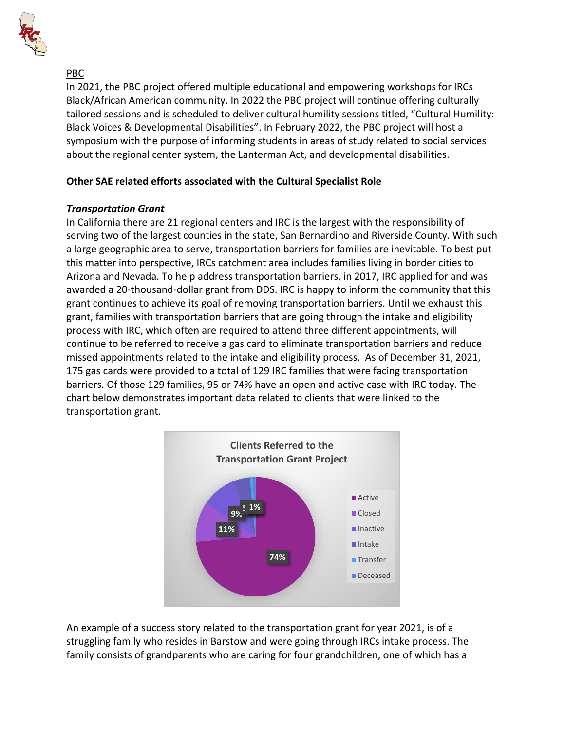

# PBC

In 2021, the PBC project offered multiple educational and empowering workshops for IRCs Black/African American community. In 2022 the PBC project will continue offering culturally tailored sessions and is scheduled to deliver cultural humility sessions titled, "Cultural Humility: Black Voices & Developmental Disabilities". In February 2022, the PBC project will host a symposium with the purpose of informing students in areas of study related to social services about the regional center system, the Lanterman Act, and developmental disabilities.

# **Other SAE related efforts associated with the Cultural Specialist Role**

## *Transportation Grant*

In California there are 21 regional centers and IRC is the largest with the responsibility of serving two of the largest counties in the state, San Bernardino and Riverside County. With such a large geographic area to serve, transportation barriers for families are inevitable. To best put this matter into perspective, IRCs catchment area includes families living in border cities to Arizona and Nevada. To help address transportation barriers, in 2017, IRC applied for and was awarded a 20-thousand-dollar grant from DDS. IRC is happy to inform the community that this grant continues to achieve its goal of removing transportation barriers. Until we exhaust this grant, families with transportation barriers that are going through the intake and eligibility process with IRC, which often are required to attend three different appointments, will continue to be referred to receive a gas card to eliminate transportation barriers and reduce missed appointments related to the intake and eligibility process. As of December 31, 2021, 175 gas cards were provided to a total of 129 IRC families that were facing transportation barriers. Of those 129 families, 95 or 74% have an open and active case with IRC today. The chart below demonstrates important data related to clients that were linked to the transportation grant.



An example of a success story related to the transportation grant for year 2021, is of a struggling family who resides in Barstow and were going through IRCs intake process. The family consists of grandparents who are caring for four grandchildren, one of which has a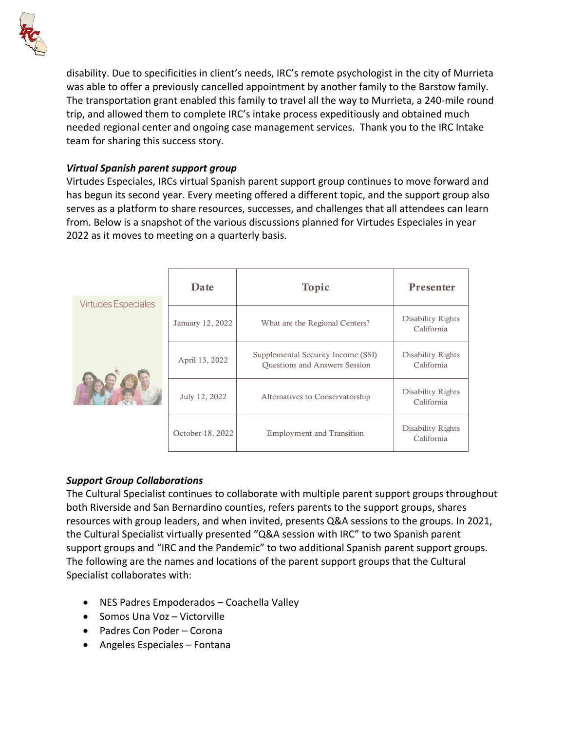

disability. Due to specificities in client's needs, IRC's remote psychologist in the city of Murrieta was able to offer a previously cancelled appointment by another family to the Barstow family. The transportation grant enabled this family to travel all the way to Murrieta, a 240-mile round trip, and allowed them to complete IRC's intake process expeditiously and obtained much needed regional center and ongoing case management services. Thank you to the IRC Intake team for sharing this success story.

## *Virtual Spanish parent support group*

Virtudes Especiales, IRCs virtual Spanish parent support group continues to move forward and has begun its second year. Every meeting offered a different topic, and the support group also serves as a platform to share resources, successes, and challenges that all attendees can learn from. Below is a snapshot of the various discussions planned for Virtudes Especiales in year 2022 as it moves to meeting on a quarterly basis.

| <b>Virtudes Especiales</b> | Date             | Topic                                                               | Presenter                       |
|----------------------------|------------------|---------------------------------------------------------------------|---------------------------------|
|                            | January 12, 2022 | What are the Regional Centers?                                      | Disability Rights<br>California |
|                            | April 13, 2022   | Supplemental Security Income (SSI)<br>Questions and Answers Session | Disability Rights<br>California |
|                            | July 12, 2022    | Alternatives to Conservatorship                                     | Disability Rights<br>California |
|                            | October 18, 2022 | <b>Employment and Transition</b>                                    | Disability Rights<br>California |

## *Support Group Collaborations*

The Cultural Specialist continues to collaborate with multiple parent support groups throughout both Riverside and San Bernardino counties, refers parents to the support groups, shares resources with group leaders, and when invited, presents Q&A sessions to the groups. In 2021, the Cultural Specialist virtually presented "Q&A session with IRC" to two Spanish parent support groups and "IRC and the Pandemic" to two additional Spanish parent support groups. The following are the names and locations of the parent support groups that the Cultural Specialist collaborates with:

- NES Padres Empoderados Coachella Valley
- Somos Una Voz Victorville
- Padres Con Poder Corona
- Angeles Especiales Fontana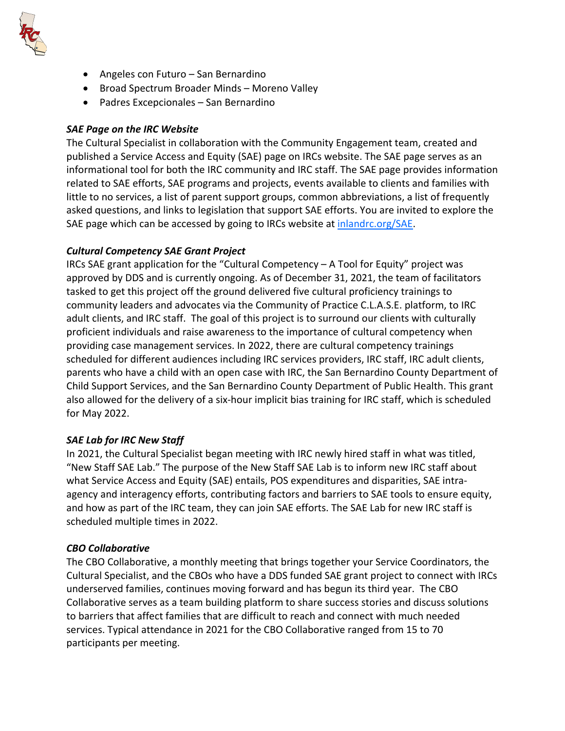

- Angeles con Futuro San Bernardino
- Broad Spectrum Broader Minds Moreno Valley
- Padres Excepcionales San Bernardino

#### *SAE Page on the IRC Website*

The Cultural Specialist in collaboration with the Community Engagement team, created and published a Service Access and Equity (SAE) page on IRCs website. The SAE page serves as an informational tool for both the IRC community and IRC staff. The SAE page provides information related to SAE efforts, SAE programs and projects, events available to clients and families with little to no services, a list of parent support groups, common abbreviations, a list of frequently asked questions, and links to legislation that support SAE efforts. You are invited to explore the SAE page which can be accessed by going to IRCs website at [inlandrc.org/SAE.](http://www.inlandrc.org/SAE)

#### *Cultural Competency SAE Grant Project*

IRCs SAE grant application for the "Cultural Competency – A Tool for Equity" project was approved by DDS and is currently ongoing. As of December 31, 2021, the team of facilitators tasked to get this project off the ground delivered five cultural proficiency trainings to community leaders and advocates via the Community of Practice C.L.A.S.E. platform, to IRC adult clients, and IRC staff. The goal of this project is to surround our clients with culturally proficient individuals and raise awareness to the importance of cultural competency when providing case management services. In 2022, there are cultural competency trainings scheduled for different audiences including IRC services providers, IRC staff, IRC adult clients, parents who have a child with an open case with IRC, the San Bernardino County Department of Child Support Services, and the San Bernardino County Department of Public Health. This grant also allowed for the delivery of a six-hour implicit bias training for IRC staff, which is scheduled for May 2022.

## *SAE Lab for IRC New Staff*

In 2021, the Cultural Specialist began meeting with IRC newly hired staff in what was titled, "New Staff SAE Lab." The purpose of the New Staff SAE Lab is to inform new IRC staff about what Service Access and Equity (SAE) entails, POS expenditures and disparities, SAE intraagency and interagency efforts, contributing factors and barriers to SAE tools to ensure equity, and how as part of the IRC team, they can join SAE efforts. The SAE Lab for new IRC staff is scheduled multiple times in 2022.

#### *CBO Collaborative*

The CBO Collaborative, a monthly meeting that brings together your Service Coordinators, the Cultural Specialist, and the CBOs who have a DDS funded SAE grant project to connect with IRCs underserved families, continues moving forward and has begun its third year. The CBO Collaborative serves as a team building platform to share success stories and discuss solutions to barriers that affect families that are difficult to reach and connect with much needed services. Typical attendance in 2021 for the CBO Collaborative ranged from 15 to 70 participants per meeting.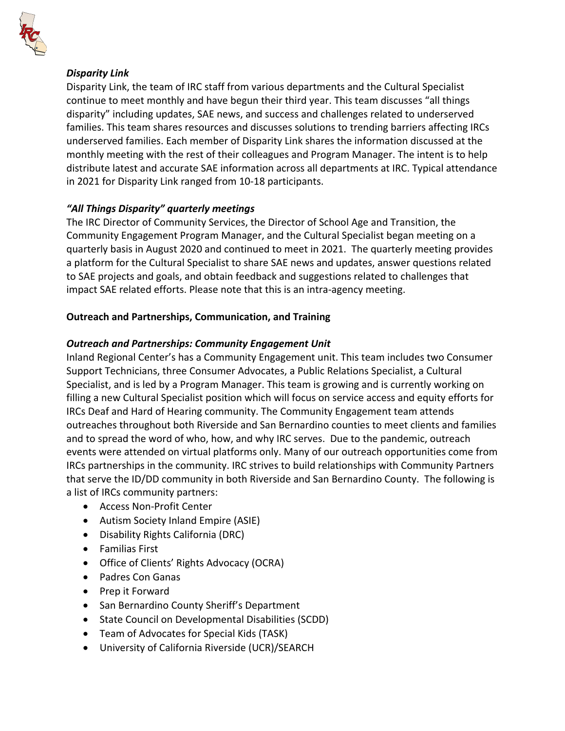

## *Disparity Link*

Disparity Link, the team of IRC staff from various departments and the Cultural Specialist continue to meet monthly and have begun their third year. This team discusses "all things disparity" including updates, SAE news, and success and challenges related to underserved families. This team shares resources and discusses solutions to trending barriers affecting IRCs underserved families. Each member of Disparity Link shares the information discussed at the monthly meeting with the rest of their colleagues and Program Manager. The intent is to help distribute latest and accurate SAE information across all departments at IRC. Typical attendance in 2021 for Disparity Link ranged from 10-18 participants.

# *"All Things Disparity" quarterly meetings*

The IRC Director of Community Services, the Director of School Age and Transition, the Community Engagement Program Manager, and the Cultural Specialist began meeting on a quarterly basis in August 2020 and continued to meet in 2021. The quarterly meeting provides a platform for the Cultural Specialist to share SAE news and updates, answer questions related to SAE projects and goals, and obtain feedback and suggestions related to challenges that impact SAE related efforts. Please note that this is an intra-agency meeting.

## **Outreach and Partnerships, Communication, and Training**

## *Outreach and Partnerships: Community Engagement Unit*

Inland Regional Center's has a Community Engagement unit. This team includes two Consumer Support Technicians, three Consumer Advocates, a Public Relations Specialist, a Cultural Specialist, and is led by a Program Manager. This team is growing and is currently working on filling a new Cultural Specialist position which will focus on service access and equity efforts for IRCs Deaf and Hard of Hearing community. The Community Engagement team attends outreaches throughout both Riverside and San Bernardino counties to meet clients and families and to spread the word of who, how, and why IRC serves. Due to the pandemic, outreach events were attended on virtual platforms only. Many of our outreach opportunities come from IRCs partnerships in the community. IRC strives to build relationships with Community Partners that serve the ID/DD community in both Riverside and San Bernardino County. The following is a list of IRCs community partners:

- Access Non-Profit Center
- Autism Society Inland Empire (ASIE)
- Disability Rights California (DRC)
- Familias First
- Office of Clients' Rights Advocacy (OCRA)
- Padres Con Ganas
- Prep it Forward
- San Bernardino County Sheriff's Department
- State Council on Developmental Disabilities (SCDD)
- Team of Advocates for Special Kids (TASK)
- University of California Riverside (UCR)/SEARCH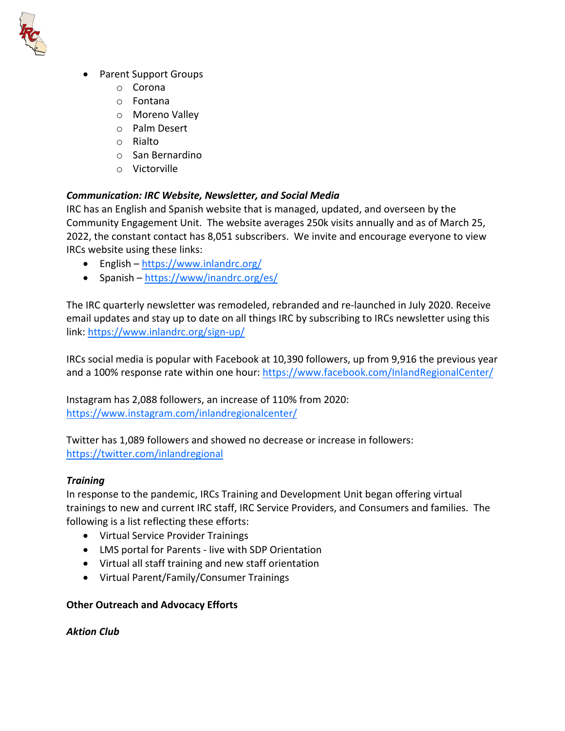

- Parent Support Groups
	- o Corona
	- o Fontana
	- o Moreno Valley
	- o Palm Desert
	- o Rialto
	- o San Bernardino
	- o Victorville

#### *Communication: IRC Website, Newsletter, and Social Media*

IRC has an English and Spanish website that is managed, updated, and overseen by the Community Engagement Unit. The website averages 250k visits annually and as of March 25, 2022, the constant contact has 8,051 subscribers. We invite and encourage everyone to view IRCs website using these links:

- English –<https://www.inlandrc.org/>
- Spanish –<https://www/inandrc.org/es/>

The IRC quarterly newsletter was remodeled, rebranded and re-launched in July 2020. Receive email updates and stay up to date on all things IRC by subscribing to IRCs newsletter using this link:<https://www.inlandrc.org/sign-up/>

IRCs social media is popular with Facebook at 10,390 followers, up from 9,916 the previous year and a 100% response rate within one hour:<https://www.facebook.com/InlandRegionalCenter/>

Instagram has 2,088 followers, an increase of 110% from 2020: <https://www.instagram.com/inlandregionalcenter/>

Twitter has 1,089 followers and showed no decrease or increase in followers: <https://twitter.com/inlandregional>

#### *Training*

In response to the pandemic, IRCs Training and Development Unit began offering virtual trainings to new and current IRC staff, IRC Service Providers, and Consumers and families. The following is a list reflecting these efforts:

- Virtual Service Provider Trainings
- LMS portal for Parents live with SDP Orientation
- Virtual all staff training and new staff orientation
- Virtual Parent/Family/Consumer Trainings

## **Other Outreach and Advocacy Efforts**

*Aktion Club*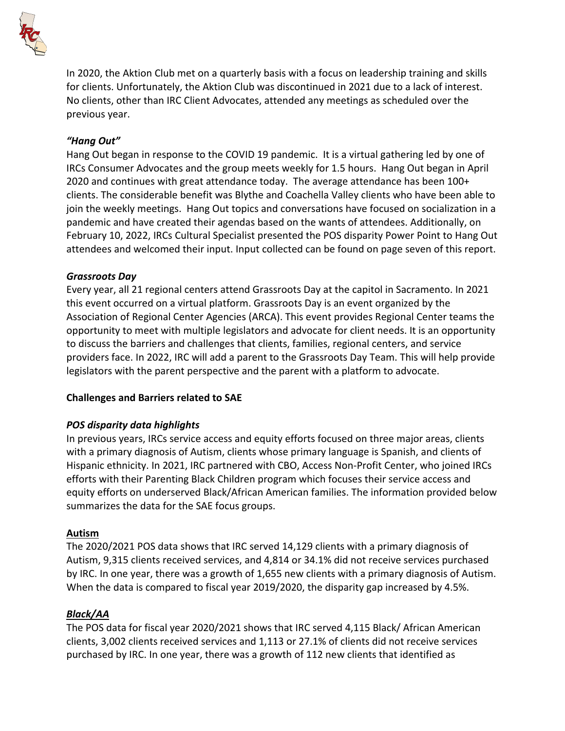

In 2020, the Aktion Club met on a quarterly basis with a focus on leadership training and skills for clients. Unfortunately, the Aktion Club was discontinued in 2021 due to a lack of interest. No clients, other than IRC Client Advocates, attended any meetings as scheduled over the previous year.

#### *"Hang Out"*

Hang Out began in response to the COVID 19 pandemic. It is a virtual gathering led by one of IRCs Consumer Advocates and the group meets weekly for 1.5 hours. Hang Out began in April 2020 and continues with great attendance today. The average attendance has been 100+ clients. The considerable benefit was Blythe and Coachella Valley clients who have been able to join the weekly meetings. Hang Out topics and conversations have focused on socialization in a pandemic and have created their agendas based on the wants of attendees. Additionally, on February 10, 2022, IRCs Cultural Specialist presented the POS disparity Power Point to Hang Out attendees and welcomed their input. Input collected can be found on page seven of this report.

#### *Grassroots Day*

Every year, all 21 regional centers attend Grassroots Day at the capitol in Sacramento. In 2021 this event occurred on a virtual platform. Grassroots Day is an event organized by the Association of Regional Center Agencies (ARCA). This event provides Regional Center teams the opportunity to meet with multiple legislators and advocate for client needs. It is an opportunity to discuss the barriers and challenges that clients, families, regional centers, and service providers face. In 2022, IRC will add a parent to the Grassroots Day Team. This will help provide legislators with the parent perspective and the parent with a platform to advocate.

#### **Challenges and Barriers related to SAE**

## *POS disparity data highlights*

In previous years, IRCs service access and equity efforts focused on three major areas, clients with a primary diagnosis of Autism, clients whose primary language is Spanish, and clients of Hispanic ethnicity. In 2021, IRC partnered with CBO, Access Non-Profit Center, who joined IRCs efforts with their Parenting Black Children program which focuses their service access and equity efforts on underserved Black/African American families. The information provided below summarizes the data for the SAE focus groups.

#### **Autism**

The 2020/2021 POS data shows that IRC served 14,129 clients with a primary diagnosis of Autism, 9,315 clients received services, and 4,814 or 34.1% did not receive services purchased by IRC. In one year, there was a growth of 1,655 new clients with a primary diagnosis of Autism. When the data is compared to fiscal year 2019/2020, the disparity gap increased by 4.5%.

## *Black/AA*

The POS data for fiscal year 2020/2021 shows that IRC served 4,115 Black/ African American clients, 3,002 clients received services and 1,113 or 27.1% of clients did not receive services purchased by IRC. In one year, there was a growth of 112 new clients that identified as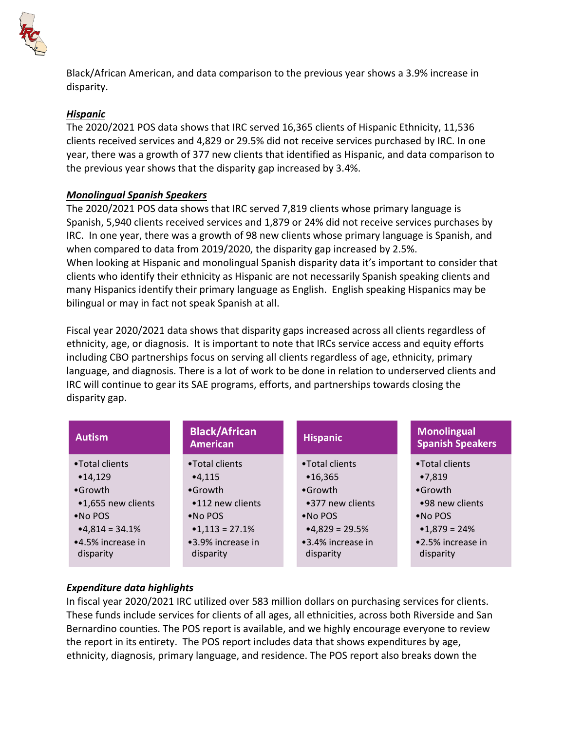

Black/African American, and data comparison to the previous year shows a 3.9% increase in disparity.

## *Hispanic*

The 2020/2021 POS data shows that IRC served 16,365 clients of Hispanic Ethnicity, 11,536 clients received services and 4,829 or 29.5% did not receive services purchased by IRC. In one year, there was a growth of 377 new clients that identified as Hispanic, and data comparison to the previous year shows that the disparity gap increased by 3.4%.

# *Monolingual Spanish Speakers*

The 2020/2021 POS data shows that IRC served 7,819 clients whose primary language is Spanish, 5,940 clients received services and 1,879 or 24% did not receive services purchases by IRC. In one year, there was a growth of 98 new clients whose primary language is Spanish, and when compared to data from 2019/2020, the disparity gap increased by 2.5%. When looking at Hispanic and monolingual Spanish disparity data it's important to consider that clients who identify their ethnicity as Hispanic are not necessarily Spanish speaking clients and many Hispanics identify their primary language as English. English speaking Hispanics may be bilingual or may in fact not speak Spanish at all.

Fiscal year 2020/2021 data shows that disparity gaps increased across all clients regardless of ethnicity, age, or diagnosis. It is important to note that IRCs service access and equity efforts including CBO partnerships focus on serving all clients regardless of age, ethnicity, primary language, and diagnosis. There is a lot of work to be done in relation to underserved clients and IRC will continue to gear its SAE programs, efforts, and partnerships towards closing the disparity gap.

| <b>Autism</b>                  | <b>Black/African</b><br><b>American</b> | <b>Hispanic</b>                | <b>Monolingual</b><br><b>Spanish Speakers</b> |
|--------------------------------|-----------------------------------------|--------------------------------|-----------------------------------------------|
| •Total clients                 | •Total clients                          | •Total clients                 | •Total clients                                |
| •14,129                        | •4.115                                  | •16,365                        | •7.819                                        |
| $•$ Growth                     | $\bullet$ Growth                        | $\bullet$ Growth               | $•$ Growth                                    |
| •1,655 new clients             | •112 new clients                        | •377 new clients               | •98 new clients                               |
| $\bullet$ No POS               | $\bullet$ No POS                        | $\bullet$ No POS               | •No POS                                       |
| $•4,814 = 34.1\%$              | $•1,113 = 27.1\%$                       | $•4,829 = 29.5%$               | $•1,879 = 24%$                                |
| ●4.5% increase in<br>disparity | •3.9% increase in<br>disparity          | •3.4% increase in<br>disparity | •2.5% increase in<br>disparity                |

# *Expenditure data highlights*

In fiscal year 2020/2021 IRC utilized over 583 million dollars on purchasing services for clients. These funds include services for clients of all ages, all ethnicities, across both Riverside and San Bernardino counties. The POS report is available, and we highly encourage everyone to review the report in its entirety. The POS report includes data that shows expenditures by age, ethnicity, diagnosis, primary language, and residence. The POS report also breaks down the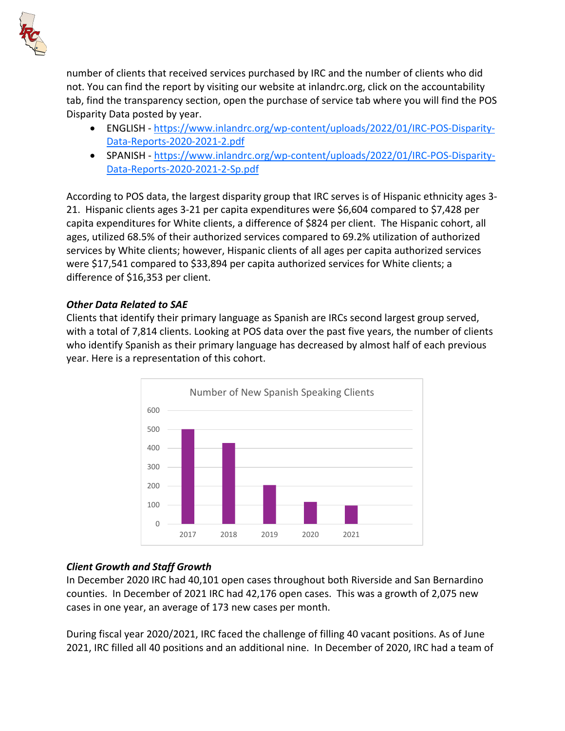

number of clients that received services purchased by IRC and the number of clients who did not. You can find the report by visiting our website at inlandrc.org, click on the accountability tab, find the transparency section, open the purchase of service tab where you will find the POS Disparity Data posted by year.

- ENGLISH - [https://www.inlandrc.org/wp-content/uploads/2022/01/IRC-POS-Disparity-](https://www.inlandrc.org/wp-content/uploads/2022/01/IRC-POS-Disparity-Data-Reports-2020-2021-2.pdf)[Data-Reports-2020-2021-2.pdf](https://www.inlandrc.org/wp-content/uploads/2022/01/IRC-POS-Disparity-Data-Reports-2020-2021-2.pdf)
- SPANISH - [https://www.inlandrc.org/wp-content/uploads/2022/01/IRC-POS-Disparity-](https://www.inlandrc.org/wp-content/uploads/2022/01/IRC-POS-Disparity-Data-Reports-2020-2021-2-Sp.pdf)[Data-Reports-2020-2021-2-Sp.pdf](https://www.inlandrc.org/wp-content/uploads/2022/01/IRC-POS-Disparity-Data-Reports-2020-2021-2-Sp.pdf)

According to POS data, the largest disparity group that IRC serves is of Hispanic ethnicity ages 3- 21. Hispanic clients ages 3-21 per capita expenditures were \$6,604 compared to \$7,428 per capita expenditures for White clients, a difference of \$824 per client. The Hispanic cohort, all ages, utilized 68.5% of their authorized services compared to 69.2% utilization of authorized services by White clients; however, Hispanic clients of all ages per capita authorized services were \$17,541 compared to \$33,894 per capita authorized services for White clients; a difference of \$16,353 per client.

## *Other Data Related to SAE*

Clients that identify their primary language as Spanish are IRCs second largest group served, with a total of 7,814 clients. Looking at POS data over the past five years, the number of clients who identify Spanish as their primary language has decreased by almost half of each previous year. Here is a representation of this cohort.



## *Client Growth and Staff Growth*

In December 2020 IRC had 40,101 open cases throughout both Riverside and San Bernardino counties. In December of 2021 IRC had 42,176 open cases. This was a growth of 2,075 new cases in one year, an average of 173 new cases per month.

During fiscal year 2020/2021, IRC faced the challenge of filling 40 vacant positions. As of June 2021, IRC filled all 40 positions and an additional nine. In December of 2020, IRC had a team of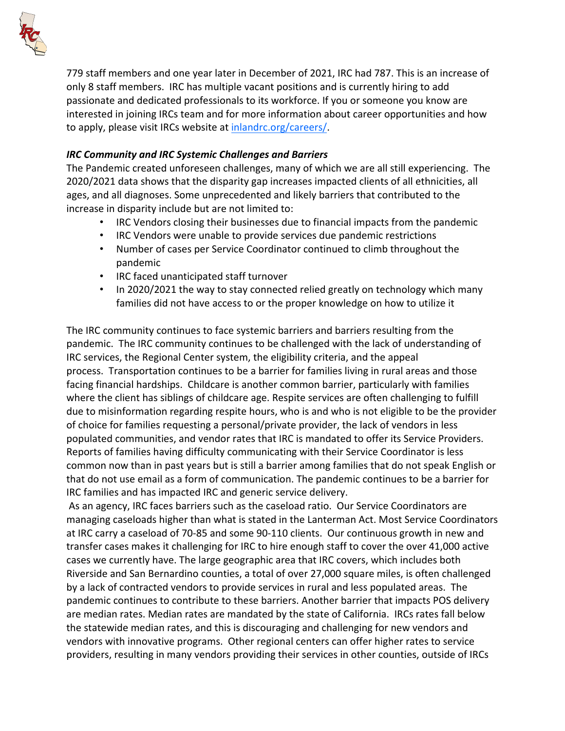

779 staff members and one year later in December of 2021, IRC had 787. This is an increase of only 8 staff members. IRC has multiple vacant positions and is currently hiring to add passionate and dedicated professionals to its workforce. If you or someone you know are interested in joining IRCs team and for more information about career opportunities and how to apply, please visit IRCs website at [inlandrc.org/careers/.](http://www.inlandrc.org/careers/)

# *IRC Community and IRC Systemic Challenges and Barriers*

The Pandemic created unforeseen challenges, many of which we are all still experiencing. The 2020/2021 data shows that the disparity gap increases impacted clients of all ethnicities, all ages, and all diagnoses. Some unprecedented and likely barriers that contributed to the increase in disparity include but are not limited to:

- IRC Vendors closing their businesses due to financial impacts from the pandemic
- IRC Vendors were unable to provide services due pandemic restrictions
- Number of cases per Service Coordinator continued to climb throughout the pandemic
- IRC faced unanticipated staff turnover
- In 2020/2021 the way to stay connected relied greatly on technology which many families did not have access to or the proper knowledge on how to utilize it

The IRC community continues to face systemic barriers and barriers resulting from the pandemic. The IRC community continues to be challenged with the lack of understanding of IRC services, the Regional Center system, the eligibility criteria, and the appeal process. Transportation continues to be a barrier for families living in rural areas and those facing financial hardships. Childcare is another common barrier, particularly with families where the client has siblings of childcare age. Respite services are often challenging to fulfill due to misinformation regarding respite hours, who is and who is not eligible to be the provider of choice for families requesting a personal/private provider, the lack of vendors in less populated communities, and vendor rates that IRC is mandated to offer its Service Providers. Reports of families having difficulty communicating with their Service Coordinator is less common now than in past years but is still a barrier among families that do not speak English or that do not use email as a form of communication. The pandemic continues to be a barrier for IRC families and has impacted IRC and generic service delivery.

As an agency, IRC faces barriers such as the caseload ratio. Our Service Coordinators are managing caseloads higher than what is stated in the Lanterman Act. Most Service Coordinators at IRC carry a caseload of 70-85 and some 90-110 clients. Our continuous growth in new and transfer cases makes it challenging for IRC to hire enough staff to cover the over 41,000 active cases we currently have. The large geographic area that IRC covers, which includes both Riverside and San Bernardino counties, a total of over 27,000 square miles, is often challenged by a lack of contracted vendors to provide services in rural and less populated areas. The pandemic continues to contribute to these barriers. Another barrier that impacts POS delivery are median rates. Median rates are mandated by the state of California. IRCs rates fall below the statewide median rates, and this is discouraging and challenging for new vendors and vendors with innovative programs. Other regional centers can offer higher rates to service providers, resulting in many vendors providing their services in other counties, outside of IRCs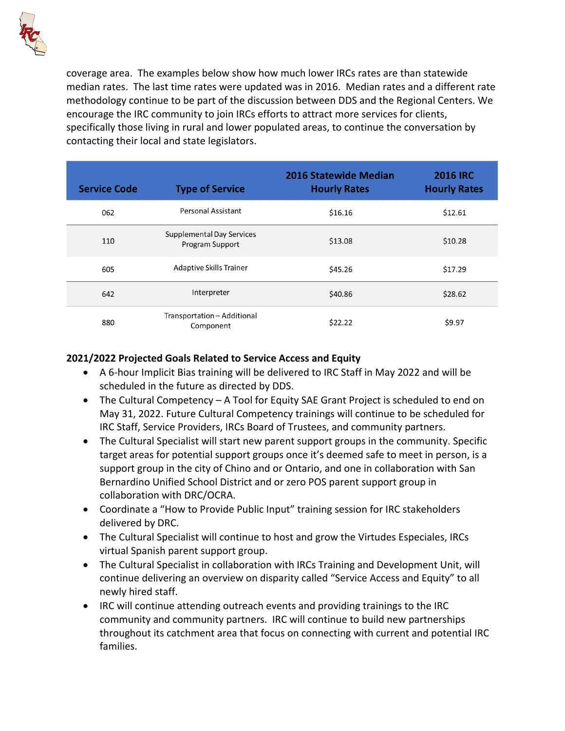

coverage area. The examples below show how much lower IRCs rates are than statewide median rates. The last time rates were updated was in 2016. Median rates and a different rate methodology continue to be part of the discussion between DDS and the Regional Centers. We encourage the IRC community to join IRCs efforts to attract more services for clients, specifically those living in rural and lower populated areas, to continue the conversation by contacting their local and state legislators.

| <b>Service Code</b> | <b>Type of Service</b>                       | <b>2016 Statewide Median</b><br><b>Hourly Rates</b> | <b>2016 IRC</b><br><b>Hourly Rates</b> |
|---------------------|----------------------------------------------|-----------------------------------------------------|----------------------------------------|
| 062                 | <b>Personal Assistant</b>                    | \$16.16                                             | \$12.61                                |
| 110                 | Supplemental Day Services<br>Program Support | \$13.08                                             | \$10.28                                |
| 605                 | Adaptive Skills Trainer                      | \$45.26                                             | \$17.29                                |
| 642                 | Interpreter                                  | \$40.86                                             | \$28.62                                |
| 880                 | Transportation - Additional<br>Component     | \$22.22                                             | \$9.97                                 |

# **2021/2022 Projected Goals Related to Service Access and Equity**

- A 6-hour Implicit Bias training will be delivered to IRC Staff in May 2022 and will be scheduled in the future as directed by DDS.
- The Cultural Competency A Tool for Equity SAE Grant Project is scheduled to end on May 31, 2022. Future Cultural Competency trainings will continue to be scheduled for IRC Staff, Service Providers, IRCs Board of Trustees, and community partners.
- The Cultural Specialist will start new parent support groups in the community. Specific target areas for potential support groups once it's deemed safe to meet in person, is a support group in the city of Chino and or Ontario, and one in collaboration with San Bernardino Unified School District and or zero POS parent support group in collaboration with DRC/OCRA.
- Coordinate a "How to Provide Public Input" training session for IRC stakeholders delivered by DRC.
- The Cultural Specialist will continue to host and grow the Virtudes Especiales, IRCs virtual Spanish parent support group.
- The Cultural Specialist in collaboration with IRCs Training and Development Unit, will continue delivering an overview on disparity called "Service Access and Equity" to all newly hired staff.
- IRC will continue attending outreach events and providing trainings to the IRC community and community partners. IRC will continue to build new partnerships throughout its catchment area that focus on connecting with current and potential IRC families.